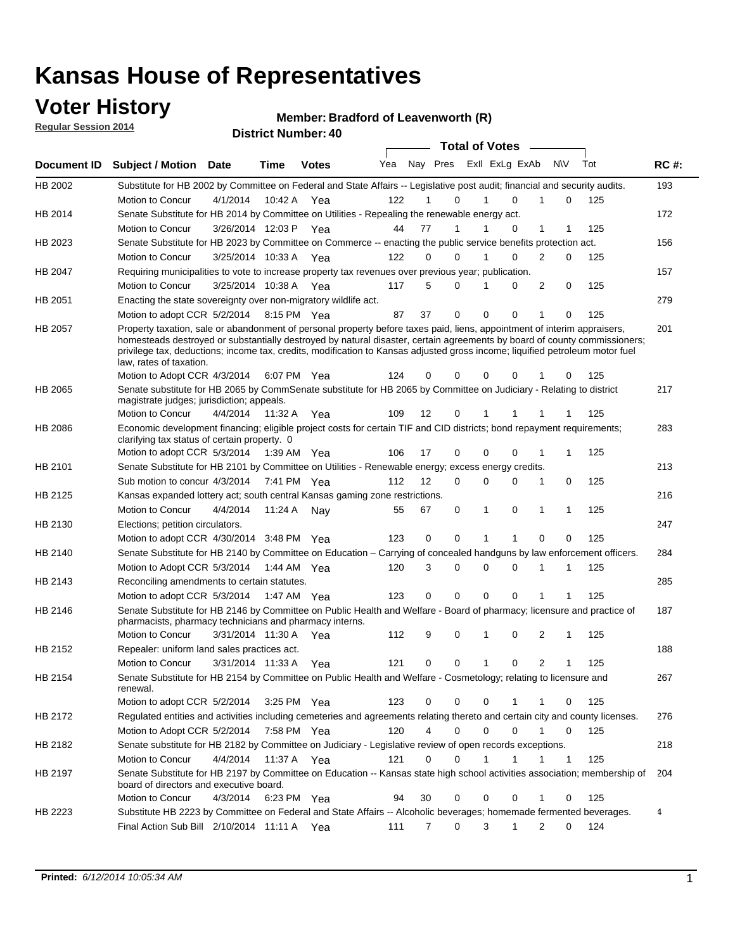### **Voter History**

**Regular Session 2014**

#### **Member: Bradford of Leavenworth (R)**

|             |                                                                                                                                                                                                                                                                                                                                                                                                                  |                       |             | <b>DISTINT MAILINGL. 40</b> |     |    |                  | <b>Total of Votes</b>      |   |                             |   |     |             |
|-------------|------------------------------------------------------------------------------------------------------------------------------------------------------------------------------------------------------------------------------------------------------------------------------------------------------------------------------------------------------------------------------------------------------------------|-----------------------|-------------|-----------------------------|-----|----|------------------|----------------------------|---|-----------------------------|---|-----|-------------|
| Document ID | <b>Subject / Motion</b>                                                                                                                                                                                                                                                                                                                                                                                          | Date                  | Time        | <b>Votes</b>                | Yea |    |                  | Nay Pres Exll ExLg ExAb    |   | <b>NV</b>                   |   | Tot | <b>RC#:</b> |
| HB 2002     | Substitute for HB 2002 by Committee on Federal and State Affairs -- Legislative post audit; financial and security audits.                                                                                                                                                                                                                                                                                       |                       |             |                             |     |    |                  |                            |   |                             |   |     | 193         |
|             | Motion to Concur                                                                                                                                                                                                                                                                                                                                                                                                 | 4/1/2014              | 10:42 A     | Yea                         | 122 |    | 0                | $\Omega$                   |   |                             | 0 | 125 |             |
| HB 2014     | Senate Substitute for HB 2014 by Committee on Utilities - Repealing the renewable energy act.                                                                                                                                                                                                                                                                                                                    |                       |             |                             |     |    |                  |                            |   |                             |   |     | 172         |
|             | Motion to Concur                                                                                                                                                                                                                                                                                                                                                                                                 | 3/26/2014 12:03 P Yea |             |                             | 44  | 77 | 1                | 0                          |   | 1                           | 1 | 125 |             |
| HB 2023     | Senate Substitute for HB 2023 by Committee on Commerce -- enacting the public service benefits protection act.                                                                                                                                                                                                                                                                                                   |                       |             |                             |     |    |                  |                            |   |                             |   |     | 156         |
|             | Motion to Concur                                                                                                                                                                                                                                                                                                                                                                                                 | 3/25/2014 10:33 A Yea |             |                             | 122 |    | 0<br>0           | $\Omega$<br>1              |   | 2                           | 0 | 125 |             |
| HB 2047     | Requiring municipalities to vote to increase property tax revenues over previous year; publication.                                                                                                                                                                                                                                                                                                              |                       |             |                             |     |    |                  |                            |   |                             |   |     | 157         |
|             | Motion to Concur                                                                                                                                                                                                                                                                                                                                                                                                 | 3/25/2014 10:38 A Yea |             |                             | 117 |    | 5<br>0           | 0                          |   | 2                           | 0 | 125 |             |
| HB 2051     | Enacting the state sovereignty over non-migratory wildlife act.                                                                                                                                                                                                                                                                                                                                                  |                       |             |                             |     |    |                  |                            |   |                             |   |     | 279         |
|             | Motion to adopt CCR 5/2/2014                                                                                                                                                                                                                                                                                                                                                                                     |                       | 8:15 PM Yea |                             | 87  | 37 | $\mathbf 0$      | $\mathbf 0$<br>0           | 1 |                             | 0 | 125 |             |
| HB 2057     | Property taxation, sale or abandonment of personal property before taxes paid, liens, appointment of interim appraisers,<br>homesteads destroyed or substantially destroyed by natural disaster, certain agreements by board of county commissioners;<br>privilege tax, deductions; income tax, credits, modification to Kansas adjusted gross income; liquified petroleum motor fuel<br>law, rates of taxation. |                       |             |                             |     |    |                  |                            |   |                             |   |     | 201         |
|             | Motion to Adopt CCR 4/3/2014                                                                                                                                                                                                                                                                                                                                                                                     |                       |             | 6:07 PM Yea                 | 124 | 0  | 0                | $\mathbf 0$<br>0           |   |                             | 0 | 125 |             |
| HB 2065     | Senate substitute for HB 2065 by CommSenate substitute for HB 2065 by Committee on Judiciary - Relating to district<br>magistrate judges; jurisdiction; appeals.                                                                                                                                                                                                                                                 |                       |             |                             |     |    |                  |                            |   |                             |   |     | 217         |
|             | Motion to Concur                                                                                                                                                                                                                                                                                                                                                                                                 | 4/4/2014              | 11:32 A     | Yea                         | 109 | 12 | 0                | 1                          |   |                             |   | 125 |             |
| HB 2086     | Economic development financing; eligible project costs for certain TIF and CID districts; bond repayment requirements;<br>clarifying tax status of certain property. 0                                                                                                                                                                                                                                           |                       |             |                             |     |    |                  |                            |   |                             |   |     | 283         |
|             | Motion to adopt CCR 5/3/2014                                                                                                                                                                                                                                                                                                                                                                                     |                       | 1:39 AM Yea |                             | 106 | 17 | 0                | $\mathbf 0$<br>$\Omega$    | 1 |                             | 1 | 125 |             |
| HB 2101     | Senate Substitute for HB 2101 by Committee on Utilities - Renewable energy; excess energy credits.                                                                                                                                                                                                                                                                                                               |                       |             |                             |     |    |                  |                            |   |                             |   |     | 213         |
|             | Sub motion to concur 4/3/2014                                                                                                                                                                                                                                                                                                                                                                                    |                       |             | 7:41 PM Yea                 | 112 | 12 | 0                | $\mathbf 0$<br>$\mathbf 0$ | 1 | 0                           |   | 125 |             |
| HB 2125     | Kansas expanded lottery act; south central Kansas gaming zone restrictions.                                                                                                                                                                                                                                                                                                                                      |                       |             |                             |     |    |                  |                            |   |                             |   |     | 216         |
|             | Motion to Concur                                                                                                                                                                                                                                                                                                                                                                                                 | 4/4/2014              | 11:24 A     | Nav                         | 55  | 67 | 0                | 1<br>0                     | 1 | 1                           |   | 125 |             |
| HB 2130     | Elections; petition circulators.                                                                                                                                                                                                                                                                                                                                                                                 |                       |             |                             |     |    |                  |                            |   |                             |   |     | 247         |
|             | Motion to adopt CCR 4/30/2014 3:48 PM Yea                                                                                                                                                                                                                                                                                                                                                                        |                       |             |                             | 123 | 0  | 0                |                            |   | $\Omega$                    | 0 | 125 |             |
| HB 2140     | Senate Substitute for HB 2140 by Committee on Education – Carrying of concealed handguns by law enforcement officers.                                                                                                                                                                                                                                                                                            |                       |             |                             |     |    |                  |                            |   |                             |   |     | 284         |
|             | Motion to Adopt CCR 5/3/2014                                                                                                                                                                                                                                                                                                                                                                                     |                       |             | 1:44 AM Yea                 | 120 |    | 3<br>0           | $\mathbf 0$<br>$\mathbf 0$ | 1 | 1                           |   | 125 |             |
| HB 2143     | Reconciling amendments to certain statutes.                                                                                                                                                                                                                                                                                                                                                                      |                       |             |                             |     |    |                  |                            |   |                             |   |     | 285         |
|             | Motion to adopt CCR 5/3/2014                                                                                                                                                                                                                                                                                                                                                                                     |                       | 1:47 AM Yea |                             | 123 |    | 0<br>0           | $\mathbf 0$<br>$\mathbf 0$ |   | 1<br>1                      |   | 125 |             |
| HB 2146     | Senate Substitute for HB 2146 by Committee on Public Health and Welfare - Board of pharmacy; licensure and practice of<br>pharmacists, pharmacy technicians and pharmacy interns.                                                                                                                                                                                                                                |                       |             |                             |     |    |                  |                            |   |                             |   |     | 187         |
|             | Motion to Concur                                                                                                                                                                                                                                                                                                                                                                                                 | 3/31/2014 11:30 A     |             | Yea                         | 112 |    | 9<br>0           | $\mathbf 0$<br>1           |   | 2<br>1                      |   | 125 |             |
| HB 2152     | Repealer: uniform land sales practices act.                                                                                                                                                                                                                                                                                                                                                                      |                       |             |                             |     |    |                  |                            |   |                             |   |     | 188         |
|             | Motion to Concur                                                                                                                                                                                                                                                                                                                                                                                                 | 3/31/2014 11:33 A     |             | Yea                         | 121 | 0  | 0                | 1<br>0                     |   | $\overline{2}$              | 1 | 125 |             |
| HB 2154     | Senate Substitute for HB 2154 by Committee on Public Health and Welfare - Cosmetology; relating to licensure and<br>renewal.                                                                                                                                                                                                                                                                                     |                       |             |                             |     |    |                  |                            |   |                             |   |     | 267         |
|             | Motion to adopt CCR 5/2/2014                                                                                                                                                                                                                                                                                                                                                                                     |                       |             | 3:25 PM Yea                 | 123 |    | 0<br>0           | 0<br>1                     |   | 1                           | 0 | 125 |             |
| HB 2172     | Regulated entities and activities including cemeteries and agreements relating thereto and certain city and county licenses.                                                                                                                                                                                                                                                                                     |                       |             |                             |     |    |                  |                            |   |                             |   |     | 276         |
|             | Motion to Adopt CCR 5/2/2014                                                                                                                                                                                                                                                                                                                                                                                     |                       |             | 7:58 PM Yea                 | 120 |    | 4<br>$\mathbf 0$ | $\mathbf 0$<br>$\Omega$    |   | $\mathbf{1}$<br>$\mathbf 0$ |   | 125 |             |
| HB 2182     | Senate substitute for HB 2182 by Committee on Judiciary - Legislative review of open records exceptions.                                                                                                                                                                                                                                                                                                         |                       |             |                             |     |    |                  |                            |   |                             |   |     | 218         |
|             | Motion to Concur                                                                                                                                                                                                                                                                                                                                                                                                 | 4/4/2014              | 11:37 A Yea |                             | 121 | 0  | $\mathbf 0$      | $\mathbf{1}$<br>1          | 1 | $\mathbf{1}$                |   | 125 |             |
| HB 2197     | Senate Substitute for HB 2197 by Committee on Education -- Kansas state high school activities association; membership of<br>board of directors and executive board.                                                                                                                                                                                                                                             |                       |             |                             |     |    |                  |                            |   |                             |   |     | 204         |
|             | Motion to Concur                                                                                                                                                                                                                                                                                                                                                                                                 | 4/3/2014              |             | 6:23 PM Yea                 | 94  | 30 | 0                | 0<br>0                     |   | 1                           | 0 | 125 |             |
| HB 2223     | Substitute HB 2223 by Committee on Federal and State Affairs -- Alcoholic beverages; homemade fermented beverages.                                                                                                                                                                                                                                                                                               |                       |             |                             |     |    |                  |                            |   |                             |   |     | 4           |
|             | Final Action Sub Bill 2/10/2014 11:11 A Yea                                                                                                                                                                                                                                                                                                                                                                      |                       |             |                             | 111 |    | 0<br>7           | 3<br>1                     |   | 2                           | 0 | 124 |             |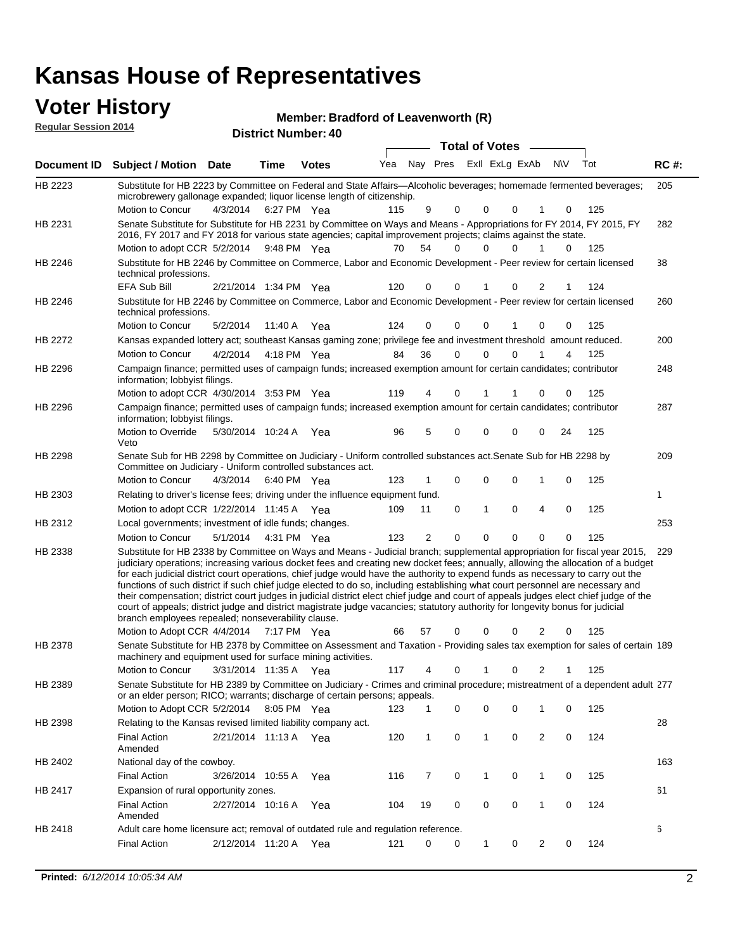### **Voter History Member:**

| VULEI NISLUI Y<br><b>Regular Session 2014</b> |                                                                                                                                                                                                                                                                                                        |                       |                            |              | Member: Bradford of Leavenworth (R) |         |                      |                      |                         |          |               |            |             |
|-----------------------------------------------|--------------------------------------------------------------------------------------------------------------------------------------------------------------------------------------------------------------------------------------------------------------------------------------------------------|-----------------------|----------------------------|--------------|-------------------------------------|---------|----------------------|----------------------|-------------------------|----------|---------------|------------|-------------|
|                                               |                                                                                                                                                                                                                                                                                                        |                       | <b>District Number: 40</b> |              |                                     |         |                      |                      | <b>Total of Votes</b>   |          |               |            |             |
| Document ID                                   | <b>Subject / Motion Date</b>                                                                                                                                                                                                                                                                           |                       | Time                       | <b>Votes</b> | Yea                                 |         |                      |                      | Nay Pres ExII ExLg ExAb |          | <b>NV</b>     | Tot        | <b>RC#:</b> |
| HB 2223                                       | Substitute for HB 2223 by Committee on Federal and State Affairs-Alcoholic beverages; homemade fermented beverages;<br>microbrewery gallonage expanded; liquor license length of citizenship.                                                                                                          |                       |                            |              |                                     |         |                      |                      |                         |          |               |            | 205         |
| HB 2231                                       | Motion to Concur<br>Senate Substitute for Substitute for HB 2231 by Committee on Ways and Means - Appropriations for FY 2014, FY 2015, FY<br>2016, FY 2017 and FY 2018 for various state agencies; capital improvement projects; claims against the state.<br>Motion to adopt CCR 5/2/2014 9:48 PM Yea | 4/3/2014              | 6:27 PM Yea                |              | 115<br>70                           | 9<br>54 | $\Omega$<br>$\Omega$ | $\Omega$<br>$\Omega$ | 0<br>$\Omega$           |          | $\Omega$<br>0 | 125<br>125 | 282         |
| HB 2246                                       | Substitute for HB 2246 by Committee on Commerce, Labor and Economic Development - Peer review for certain licensed<br>technical professions.                                                                                                                                                           |                       |                            |              |                                     |         |                      |                      |                         |          |               |            | 38          |
| HB 2246                                       | <b>EFA Sub Bill</b><br>Substitute for HB 2246 by Committee on Commerce, Labor and Economic Development - Peer review for certain licensed<br>technical professions.                                                                                                                                    | 2/21/2014 1:34 PM Yea |                            |              | 120                                 | 0       | $\Omega$             |                      | $\Omega$                |          |               | 124        | 260         |
|                                               | Motion to Concur                                                                                                                                                                                                                                                                                       | 5/2/2014              | 11:40 A Yea                |              | 124                                 | 0       | $\Omega$             | 0                    |                         | $\Omega$ | 0             | 125        |             |
| HB 2272                                       | Kansas expanded lottery act; southeast Kansas gaming zone; privilege fee and investment threshold amount reduced.                                                                                                                                                                                      |                       |                            |              |                                     |         |                      |                      |                         |          |               |            | 200         |
|                                               | Motion to Concur                                                                                                                                                                                                                                                                                       | 4/2/2014              | 4:18 PM Yea                |              | 84                                  | 36      | $\Omega$             | $\Omega$             | $\Omega$                |          | 4             | 125        |             |
| HB 2296                                       | Campaign finance; permitted uses of campaign funds; increased exemption amount for certain candidates; contributor<br>information; lobbyist filings.                                                                                                                                                   |                       |                            |              |                                     |         |                      |                      |                         |          |               |            | 248         |
|                                               | Motion to adopt CCR 4/30/2014 3:53 PM Yea                                                                                                                                                                                                                                                              |                       |                            |              | 119                                 | 4       | $\Omega$             |                      |                         | 0        | $\Omega$      | 125        |             |
| HB 2296                                       | Campaign finance; permitted uses of campaign funds; increased exemption amount for certain candidates; contributor<br>information; lobbyist filings.                                                                                                                                                   |                       |                            |              |                                     |         |                      |                      |                         |          |               |            | 287         |
|                                               | Motion to Override<br>Veto                                                                                                                                                                                                                                                                             | 5/30/2014 10:24 A     |                            | Yea          | 96                                  | 5       | $\Omega$             | 0                    | $\Omega$                | $\Omega$ | 24            | 125        |             |

209 4/3/2014 HB 2298 Motion to Concur 4/3/2014 6:40 PM Yea 123 1 0 0 0 1 0 125 Senate Sub for HB 2298 by Committee on Judiciary - Uniform controlled substances act.Senate Sub for HB 2298 by Committee on Judiciary - Uniform controlled substances act. 6:40 PM Yea 1 1/22/2014 Motion to adopt CCR Yea 125 11:45 A 109 11 0 0 40 1 HB 2303 Relating to driver's license fees; driving under the influence equipment fund. 253 5/1/2014 HB 2312 Motion to Concur Yea 125 4:31 PM 123 2 0 0 00 0 Local governments; investment of idle funds; changes. Substitute for HB 2338 by Committee on Ways and Means - Judicial branch; supplemental appropriation for fiscal year 2015, 229 Motion to Adopt CCR 4/4/2014 7:17 PM Yea 66 57 0 0 0 2 0 125 HB 2338 judiciary operations; increasing various docket fees and creating new docket fees; annually, allowing the allocation of a budget for each judicial district court operations, chief judge would have the authority to expend funds as necessary to carry out the functions of such district if such chief judge elected to do so, including establishing what court personnel are necessary and their compensation; district court judges in judicial district elect chief judge and court of appeals judges elect chief judge of the court of appeals; district judge and district magistrate judge vacancies; statutory authority for longevity bonus for judicial branch employees repealed; nonseverability clause. 7:17 PM Yea 66 57 0 0 0 2 0

Senate Substitute for HB 2378 by Committee on Assessment and Taxation - Providing sales tax exemption for sales of certain 189 3/31/2014 Motion to Concur Yea 125 11:35 A 117 4 0 0 21 1 HB 2378 machinery and equipment used for surface mining activities. Senate Substitute for HB 2389 by Committee on Judiciary - Crimes and criminal procedure; mistreatment of a dependent adult 277 Motion to Adopt CCR 5/2/2014 8:05 PM Yea 123 1 0 0 0 1 0 125 HB 2389 or an elder person; RICO; warrants; discharge of certain persons; appeals. 28 2/21/2014 Final Action Yea 124 11:13 A 120 1 0 0 20 1 HB 2398 Amended Relating to the Kansas revised limited liability company act. 163 Final Action 3/26/2014 10:55 A Yea 116 7 0 1 0 125 HB 2402 National day of the cowboy. 10:55 A 116 7 0 0 10 1

61

6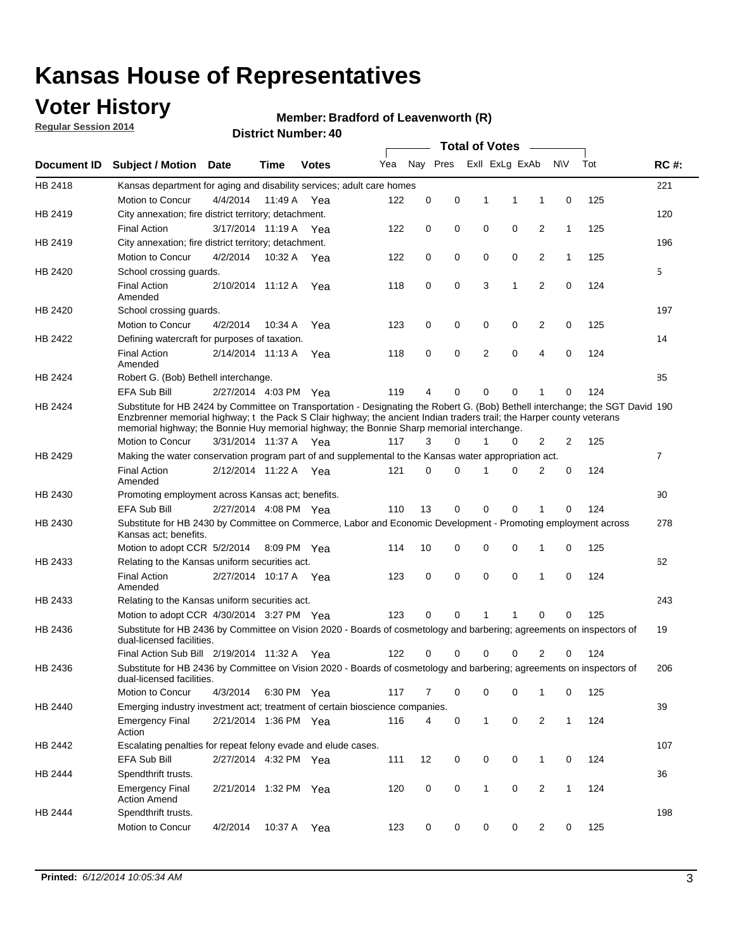## **Voter History**

**Regular Session 2014**

#### **Member: Bradford of Leavenworth (R)**

|                |                                                                                                                                                                                                                                                                                                                                                      |                       |             | <b>DISUILLINUIIIIDEI. 40</b> |     |             |          |             | <b>Total of Votes</b> |                |              |     |                |
|----------------|------------------------------------------------------------------------------------------------------------------------------------------------------------------------------------------------------------------------------------------------------------------------------------------------------------------------------------------------------|-----------------------|-------------|------------------------------|-----|-------------|----------|-------------|-----------------------|----------------|--------------|-----|----------------|
| Document ID    | <b>Subject / Motion Date</b>                                                                                                                                                                                                                                                                                                                         |                       | Time        | <b>Votes</b>                 | Yea |             | Nay Pres |             | Exll ExLg ExAb        |                | <b>NV</b>    | Tot | <b>RC#:</b>    |
| HB 2418        | Kansas department for aging and disability services; adult care homes                                                                                                                                                                                                                                                                                |                       |             |                              |     |             |          |             |                       |                |              |     | 221            |
|                | Motion to Concur                                                                                                                                                                                                                                                                                                                                     | 4/4/2014              | 11:49 A     | Yea                          | 122 | 0           | 0        | 1           | 1                     | 1              | 0            | 125 |                |
| HB 2419        | City annexation; fire district territory; detachment.                                                                                                                                                                                                                                                                                                |                       |             |                              |     |             |          |             |                       |                |              |     | 120            |
|                | <b>Final Action</b>                                                                                                                                                                                                                                                                                                                                  | 3/17/2014 11:19 A     |             | Yea                          | 122 | 0           | 0        | $\mathbf 0$ | 0                     | 2              | $\mathbf{1}$ | 125 |                |
| HB 2419        | City annexation; fire district territory; detachment.                                                                                                                                                                                                                                                                                                |                       |             |                              |     |             |          |             |                       |                |              |     | 196            |
|                | Motion to Concur                                                                                                                                                                                                                                                                                                                                     | 4/2/2014              | 10:32 A     | Yea                          | 122 | 0           | 0        | $\mathbf 0$ | 0                     | 2              | $\mathbf{1}$ | 125 |                |
| HB 2420        | School crossing quards.                                                                                                                                                                                                                                                                                                                              |                       |             |                              |     |             |          |             |                       |                |              |     | 5              |
|                | <b>Final Action</b><br>Amended                                                                                                                                                                                                                                                                                                                       | 2/10/2014 11:12 A     |             | Yea                          | 118 | 0           | 0        | 3           | 1                     | 2              | 0            | 124 |                |
| HB 2420        | School crossing guards.                                                                                                                                                                                                                                                                                                                              |                       |             |                              |     |             |          |             |                       |                |              |     | 197            |
|                | Motion to Concur                                                                                                                                                                                                                                                                                                                                     | 4/2/2014              | 10:34 A     | Yea                          | 123 | 0           | 0        | 0           | 0                     | 2              | 0            | 125 |                |
| HB 2422        | Defining watercraft for purposes of taxation.                                                                                                                                                                                                                                                                                                        |                       |             |                              |     |             |          |             |                       |                |              |     | 14             |
|                | <b>Final Action</b><br>Amended                                                                                                                                                                                                                                                                                                                       | 2/14/2014 11:13 A     |             | Yea                          | 118 | 0           | 0        | 2           | $\mathbf 0$           | 4              | 0            | 124 |                |
| HB 2424        | Robert G. (Bob) Bethell interchange.                                                                                                                                                                                                                                                                                                                 |                       |             |                              |     |             |          |             |                       |                |              |     | 85             |
|                | <b>EFA Sub Bill</b>                                                                                                                                                                                                                                                                                                                                  | 2/27/2014 4:03 PM Yea |             |                              | 119 | 4           | 0        | 0           | 0                     | 1              | $\Omega$     | 124 |                |
| HB 2424        | Substitute for HB 2424 by Committee on Transportation - Designating the Robert G. (Bob) Bethell interchange; the SGT David 190<br>Enzbrenner memorial highway; t the Pack S Clair highway; the ancient Indian traders trail; the Harper county veterans<br>memorial highway; the Bonnie Huy memorial highway; the Bonnie Sharp memorial interchange. |                       |             |                              |     |             |          |             |                       |                |              |     |                |
|                | Motion to Concur                                                                                                                                                                                                                                                                                                                                     | 3/31/2014 11:37 A Yea |             |                              | 117 | 3           | 0        | 1           | 0                     | 2              | 2            | 125 |                |
| HB 2429        | Making the water conservation program part of and supplemental to the Kansas water appropriation act.                                                                                                                                                                                                                                                |                       |             |                              |     |             |          |             |                       |                |              |     | $\overline{7}$ |
|                | <b>Final Action</b><br>Amended                                                                                                                                                                                                                                                                                                                       | 2/12/2014 11:22 A     |             | Yea                          | 121 | $\mathbf 0$ | 0        | 1           | $\Omega$              | $\overline{2}$ | 0            | 124 |                |
| HB 2430        | Promoting employment across Kansas act; benefits.                                                                                                                                                                                                                                                                                                    |                       |             |                              |     |             |          |             |                       |                |              |     | 90             |
|                | EFA Sub Bill                                                                                                                                                                                                                                                                                                                                         | 2/27/2014 4:08 PM Yea |             |                              | 110 | 13          | 0        | 0           | 0                     | 1              | $\Omega$     | 124 |                |
| HB 2430        | Substitute for HB 2430 by Committee on Commerce, Labor and Economic Development - Promoting employment across<br>Kansas act; benefits.                                                                                                                                                                                                               |                       |             |                              |     |             |          |             |                       |                |              |     | 278            |
|                | Motion to adopt CCR 5/2/2014                                                                                                                                                                                                                                                                                                                         |                       | 8:09 PM Yea |                              | 114 | 10          | 0        | 0           | $\mathbf 0$           | 1              | 0            | 125 |                |
| HB 2433        | Relating to the Kansas uniform securities act.                                                                                                                                                                                                                                                                                                       |                       |             |                              |     |             |          |             |                       |                |              |     | 62             |
|                | <b>Final Action</b><br>Amended                                                                                                                                                                                                                                                                                                                       | 2/27/2014 10:17 A Yea |             |                              | 123 | 0           | 0        | $\mathbf 0$ | $\mathbf 0$           | 1              | 0            | 124 |                |
| HB 2433        | Relating to the Kansas uniform securities act.                                                                                                                                                                                                                                                                                                       |                       |             |                              |     |             |          |             |                       |                |              |     | 243            |
|                | Motion to adopt CCR 4/30/2014 3:27 PM Yea                                                                                                                                                                                                                                                                                                            |                       |             |                              | 123 | 0           | 0        | 1           | 1                     | 0              | 0            | 125 |                |
| HB 2436        | Substitute for HB 2436 by Committee on Vision 2020 - Boards of cosmetology and barbering; agreements on inspectors of<br>dual-licensed facilities.                                                                                                                                                                                                   |                       |             |                              |     |             |          |             |                       |                |              |     | 19             |
|                | Final Action Sub Bill 2/19/2014 11:32 A                                                                                                                                                                                                                                                                                                              |                       |             | Yea                          | 122 | 0           | 0        | 0           | $\Omega$              | 2              | 0            | 124 |                |
| HB 2436        | Substitute for HB 2436 by Committee on Vision 2020 - Boards of cosmetology and barbering; agreements on inspectors of<br>dual-licensed facilities.                                                                                                                                                                                                   |                       |             |                              |     |             |          |             |                       |                |              |     | 206            |
|                | Motion to Concur                                                                                                                                                                                                                                                                                                                                     | 4/3/2014              |             | 6:30 PM Yea                  | 117 | 7           | 0        | 0           | 0                     | 1              | 0            | 125 |                |
| <b>HB 2440</b> | Emerging industry investment act; treatment of certain bioscience companies.                                                                                                                                                                                                                                                                         |                       |             |                              |     |             |          |             |                       |                |              |     | 39             |
|                | <b>Emergency Final</b><br>Action                                                                                                                                                                                                                                                                                                                     | 2/21/2014 1:36 PM Yea |             |                              | 116 | 4           | 0        | 1           | 0                     | 2              | $\mathbf{1}$ | 124 |                |
| HB 2442        | Escalating penalties for repeat felony evade and elude cases.                                                                                                                                                                                                                                                                                        |                       |             |                              |     |             |          |             |                       |                |              |     | 107            |
|                | EFA Sub Bill                                                                                                                                                                                                                                                                                                                                         | 2/27/2014 4:32 PM Yea |             |                              | 111 | 12          | 0        | 0           | 0                     | $\mathbf{1}$   | 0            | 124 |                |
| HB 2444        | Spendthrift trusts.                                                                                                                                                                                                                                                                                                                                  |                       |             |                              |     |             |          |             |                       |                |              |     | 36             |
|                | <b>Emergency Final</b><br><b>Action Amend</b>                                                                                                                                                                                                                                                                                                        | 2/21/2014 1:32 PM Yea |             |                              | 120 | 0           | 0        | 1           | 0                     | 2              | $\mathbf{1}$ | 124 |                |
| HB 2444        | Spendthrift trusts.                                                                                                                                                                                                                                                                                                                                  |                       |             |                              |     |             |          |             |                       |                |              |     | 198            |
|                | Motion to Concur                                                                                                                                                                                                                                                                                                                                     | 4/2/2014              | 10:37 A     | Yea                          | 123 | 0           | 0        | 0           | 0                     | 2              | 0            | 125 |                |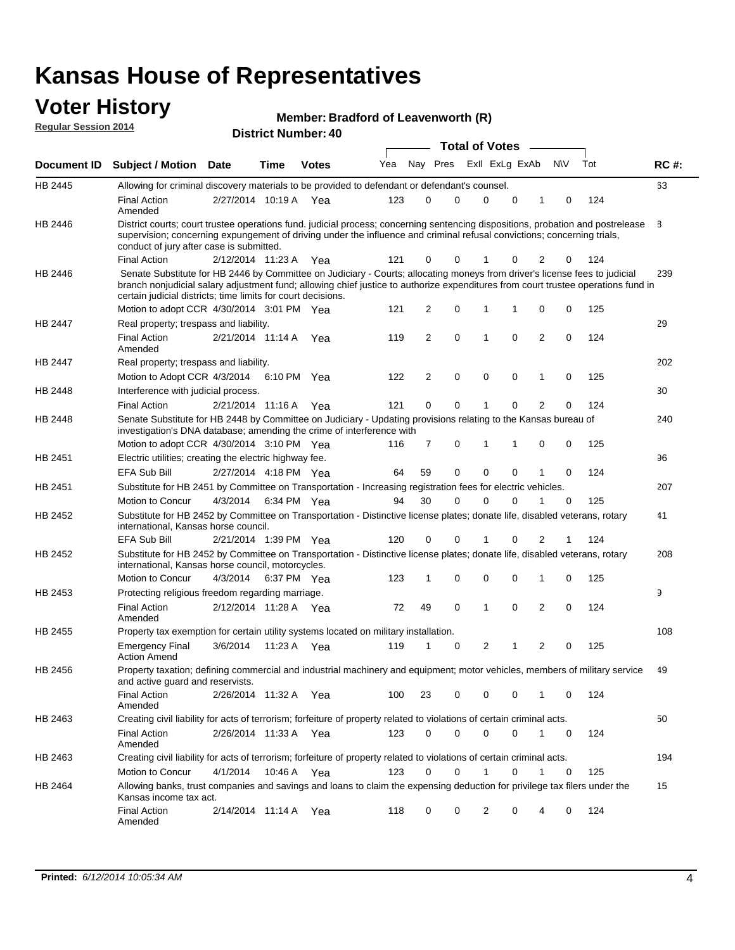#### **Voter History Regular Session 2014**

#### **Member: Bradford of Leavenworth (R)**

| <b>District Number: 40</b> |
|----------------------------|
|                            |

|                    |                                                                                                                                                                                                                                                                                                                                 |                       |             |              |     |             |             | <b>Total of Votes</b> |             |              |             |     |             |
|--------------------|---------------------------------------------------------------------------------------------------------------------------------------------------------------------------------------------------------------------------------------------------------------------------------------------------------------------------------|-----------------------|-------------|--------------|-----|-------------|-------------|-----------------------|-------------|--------------|-------------|-----|-------------|
| <b>Document ID</b> | <b>Subject / Motion Date</b>                                                                                                                                                                                                                                                                                                    |                       | Time        | <b>Votes</b> | Yea | Nay Pres    |             | Exll ExLg ExAb        |             |              | <b>NV</b>   | Tot | <b>RC#:</b> |
| HB 2445            | Allowing for criminal discovery materials to be provided to defendant or defendant's counsel.                                                                                                                                                                                                                                   |                       |             |              |     |             |             |                       |             |              |             |     | 63          |
|                    | <b>Final Action</b><br>Amended                                                                                                                                                                                                                                                                                                  | 2/27/2014 10:19 A     |             | Yea          | 123 | 0           | 0           | 0                     | $\Omega$    | 1            | 0           | 124 |             |
| HB 2446            | District courts; court trustee operations fund. judicial process; concerning sentencing dispositions, probation and postrelease<br>supervision; concerning expungement of driving under the influence and criminal refusal convictions; concerning trials,<br>conduct of jury after case is submitted.                          |                       |             |              |     |             |             |                       |             |              |             |     | 8           |
|                    | <b>Final Action</b>                                                                                                                                                                                                                                                                                                             | 2/12/2014 11:23 A     |             | Yea          | 121 | 0           | 0           | 1                     | 0           | 2            | 0           | 124 |             |
| HB 2446            | Senate Substitute for HB 2446 by Committee on Judiciary - Courts; allocating moneys from driver's license fees to judicial<br>branch nonjudicial salary adjustment fund; allowing chief justice to authorize expenditures from court trustee operations fund in<br>certain judicial districts; time limits for court decisions. |                       |             |              |     |             |             |                       |             |              |             |     | 239         |
|                    | Motion to adopt CCR 4/30/2014 3:01 PM Yea                                                                                                                                                                                                                                                                                       |                       |             |              | 121 | 2           | 0           | 1                     | 1           | 0            | 0           | 125 |             |
| <b>HB 2447</b>     | Real property; trespass and liability.                                                                                                                                                                                                                                                                                          |                       |             |              |     |             |             |                       |             |              |             |     | 29          |
|                    | <b>Final Action</b><br>Amended                                                                                                                                                                                                                                                                                                  | 2/21/2014 11:14 A     |             | Yea          | 119 | 2           | 0           | 1                     | 0           | 2            | 0           | 124 |             |
| HB 2447            | Real property; trespass and liability.                                                                                                                                                                                                                                                                                          |                       |             |              |     |             |             |                       |             |              |             |     | 202         |
|                    | Motion to Adopt CCR 4/3/2014                                                                                                                                                                                                                                                                                                    |                       |             | 6:10 PM Yea  | 122 | 2           | 0           | $\mathbf 0$           | $\mathbf 0$ | 1            | 0           | 125 |             |
| HB 2448            | Interference with judicial process.                                                                                                                                                                                                                                                                                             |                       |             |              |     |             |             |                       |             |              |             |     | 30          |
|                    | <b>Final Action</b>                                                                                                                                                                                                                                                                                                             | 2/21/2014 11:16 A     |             | Yea          | 121 | $\mathbf 0$ | $\mathbf 0$ | 1                     | $\Omega$    | 2            | 0           | 124 |             |
| HB 2448            | Senate Substitute for HB 2448 by Committee on Judiciary - Updating provisions relating to the Kansas bureau of<br>investigation's DNA database; amending the crime of interference with                                                                                                                                         |                       |             |              |     |             |             |                       |             |              |             |     | 240         |
|                    | Motion to adopt CCR 4/30/2014 3:10 PM Yea                                                                                                                                                                                                                                                                                       |                       |             |              | 116 | 7           | 0           | 1                     | 1           | 0            | 0           | 125 |             |
| HB 2451            | Electric utilities; creating the electric highway fee.                                                                                                                                                                                                                                                                          |                       |             |              |     |             |             |                       |             |              |             |     | 96          |
|                    | <b>EFA Sub Bill</b>                                                                                                                                                                                                                                                                                                             | 2/27/2014 4:18 PM Yea |             |              | 64  | 59          | 0           | 0                     | 0           |              | 0           | 124 |             |
| HB 2451            | Substitute for HB 2451 by Committee on Transportation - Increasing registration fees for electric vehicles.                                                                                                                                                                                                                     |                       |             |              |     |             |             |                       |             |              |             |     | 207         |
|                    | Motion to Concur                                                                                                                                                                                                                                                                                                                | 4/3/2014              |             | 6:34 PM Yea  | 94  | 30          | 0           | 0                     | 0           |              | $\mathbf 0$ | 125 |             |
| HB 2452            | Substitute for HB 2452 by Committee on Transportation - Distinctive license plates; donate life, disabled veterans, rotary<br>international, Kansas horse council.                                                                                                                                                              |                       |             |              |     |             |             |                       |             |              |             |     | 41          |
|                    | EFA Sub Bill                                                                                                                                                                                                                                                                                                                    | 2/21/2014 1:39 PM Yea |             |              | 120 | 0           | 0           | 1                     | 0           | 2            | 1           | 124 |             |
| HB 2452            | Substitute for HB 2452 by Committee on Transportation - Distinctive license plates; donate life, disabled veterans, rotary<br>international, Kansas horse council, motorcycles.                                                                                                                                                 |                       |             |              |     |             |             |                       |             |              |             |     | 208         |
|                    | Motion to Concur                                                                                                                                                                                                                                                                                                                | 4/3/2014              |             | 6:37 PM Yea  | 123 | 1           | 0           | 0                     | 0           | 1            | 0           | 125 |             |
| HB 2453            | Protecting religious freedom regarding marriage.                                                                                                                                                                                                                                                                                |                       |             |              |     |             |             |                       |             |              |             |     | 9           |
|                    | <b>Final Action</b><br>Amended                                                                                                                                                                                                                                                                                                  | 2/12/2014 11:28 A Yea |             |              | 72  | 49          | 0           | 1                     | $\Omega$    | 2            | 0           | 124 |             |
| HB 2455            | Property tax exemption for certain utility systems located on military installation.                                                                                                                                                                                                                                            |                       |             |              |     |             |             |                       |             |              |             |     | 108         |
|                    | <b>Emergency Final</b><br><b>Action Amend</b>                                                                                                                                                                                                                                                                                   | 3/6/2014              | 11:23 A     | Yea          | 119 | 1           | 0           | 2                     |             | 2            | 0           | 125 |             |
| HB 2456            | Property taxation; defining commercial and industrial machinery and equipment; motor vehicles, members of military service<br>and active guard and reservists.                                                                                                                                                                  |                       |             |              |     |             |             |                       |             |              |             |     | 49          |
|                    | <b>Final Action</b><br>Amended                                                                                                                                                                                                                                                                                                  | 2/26/2014 11:32 A Yea |             |              | 100 | 23          | 0           | 0                     | 0           | 1            | 0           | 124 |             |
| HB 2463            | Creating civil liability for acts of terrorism; forfeiture of property related to violations of certain criminal acts.                                                                                                                                                                                                          |                       |             |              |     |             |             |                       |             |              |             |     | 50          |
|                    | <b>Final Action</b><br>Amended                                                                                                                                                                                                                                                                                                  | 2/26/2014 11:33 A Yea |             |              | 123 | 0           | 0           | 0                     | 0           | $\mathbf{1}$ | 0           | 124 |             |
| HB 2463            | Creating civil liability for acts of terrorism; forfeiture of property related to violations of certain criminal acts.                                                                                                                                                                                                          |                       |             |              |     |             |             |                       |             |              |             |     | 194         |
|                    | Motion to Concur                                                                                                                                                                                                                                                                                                                | 4/1/2014              | 10:46 A Yea |              | 123 | 0           | 0           | $\mathbf{1}$          | $\mathbf 0$ | $\mathbf{1}$ | 0           | 125 |             |
| HB 2464            | Allowing banks, trust companies and savings and loans to claim the expensing deduction for privilege tax filers under the<br>Kansas income tax act.                                                                                                                                                                             |                       |             |              |     |             |             |                       |             |              |             |     | 15          |
|                    | <b>Final Action</b><br>Amended                                                                                                                                                                                                                                                                                                  | 2/14/2014 11:14 A Yea |             |              | 118 | 0           | 0           | 2                     | 0           | 4            | 0           | 124 |             |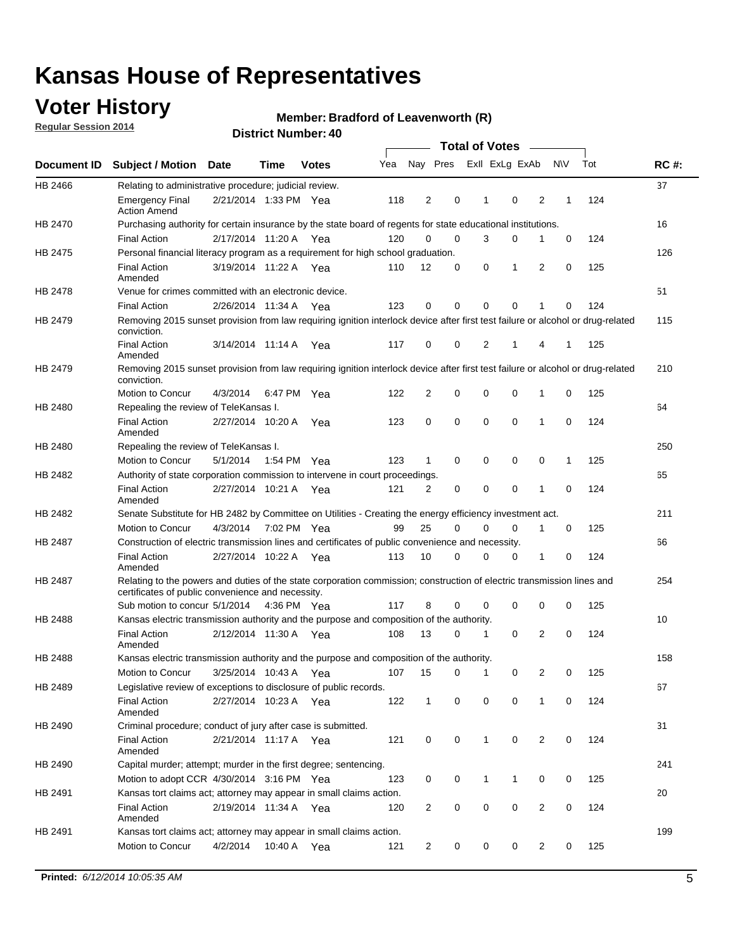## **Voter History**

**Regular Session 2014**

#### **Member: Bradford of Leavenworth (R)**

|                |                                                                                                                                                                             |                       |         |              |     |                |          | <b>Total of Votes</b> |                |                |             |     |             |
|----------------|-----------------------------------------------------------------------------------------------------------------------------------------------------------------------------|-----------------------|---------|--------------|-----|----------------|----------|-----------------------|----------------|----------------|-------------|-----|-------------|
|                | Document ID Subject / Motion                                                                                                                                                | Date                  | Time    | <b>Votes</b> | Yea | Nay Pres       |          |                       | Exll ExLg ExAb |                | <b>NV</b>   | Tot | <b>RC#:</b> |
| HB 2466        | Relating to administrative procedure; judicial review.                                                                                                                      |                       |         |              |     |                |          |                       |                |                |             |     | 37          |
|                | <b>Emergency Final</b><br><b>Action Amend</b>                                                                                                                               | 2/21/2014 1:33 PM Yea |         |              | 118 | $\overline{2}$ | 0        | 1                     | $\mathbf 0$    | 2              | 1           | 124 |             |
| <b>HB 2470</b> | Purchasing authority for certain insurance by the state board of regents for state educational institutions.                                                                |                       |         |              |     |                |          |                       |                |                |             |     | 16          |
|                | <b>Final Action</b>                                                                                                                                                         | 2/17/2014 11:20 A Yea |         |              | 120 | 0              | 0        | 3                     | 0              | 1              | $\mathbf 0$ | 124 |             |
| HB 2475        | Personal financial literacy program as a requirement for high school graduation.                                                                                            |                       |         |              |     |                |          |                       |                |                |             |     | 126         |
|                | <b>Final Action</b><br>Amended                                                                                                                                              | 3/19/2014 11:22 A Yea |         |              | 110 | 12             | 0        | 0                     | 1              | 2              | 0           | 125 |             |
| HB 2478        | Venue for crimes committed with an electronic device.                                                                                                                       |                       |         |              |     |                |          |                       |                |                |             |     | 51          |
|                | <b>Final Action</b>                                                                                                                                                         | 2/26/2014 11:34 A     |         | Yea          | 123 | 0              | 0        | $\Omega$              | $\mathbf 0$    | 1              | 0           | 124 |             |
| HB 2479        | Removing 2015 sunset provision from law requiring ignition interlock device after first test failure or alcohol or drug-related<br>conviction.                              |                       |         |              |     |                |          |                       |                |                |             |     | 115         |
|                | <b>Final Action</b><br>Amended                                                                                                                                              | 3/14/2014 11:14 A     |         | Yea          | 117 | 0              | 0        | $\overline{2}$        | 1              | 4              | 1           | 125 |             |
| HB 2479        | Removing 2015 sunset provision from law requiring ignition interlock device after first test failure or alcohol or drug-related<br>conviction.                              |                       |         |              |     |                |          |                       |                |                |             |     | 210         |
|                | Motion to Concur                                                                                                                                                            | 4/3/2014              |         | 6:47 PM Yea  | 122 | $\overline{2}$ | 0        | $\mathbf 0$           | 0              | 1              | 0           | 125 |             |
| HB 2480        | Repealing the review of TeleKansas I.                                                                                                                                       |                       |         |              |     |                |          |                       |                |                |             |     | 64          |
|                | <b>Final Action</b><br>Amended                                                                                                                                              | 2/27/2014 10:20 A     |         | Yea          | 123 | 0              | 0        | $\mathbf 0$           | $\mathbf 0$    | 1              | 0           | 124 |             |
| HB 2480        | Repealing the review of TeleKansas I.                                                                                                                                       |                       |         |              |     |                |          |                       |                |                |             |     | 250         |
|                | Motion to Concur                                                                                                                                                            | 5/1/2014              |         | 1:54 PM Yea  | 123 | 1              | 0        | 0                     | 0              | 0              | 1           | 125 |             |
| HB 2482        | Authority of state corporation commission to intervene in court proceedings.                                                                                                |                       |         |              |     |                |          |                       |                |                |             |     | 65          |
|                | <b>Final Action</b><br>Amended                                                                                                                                              | 2/27/2014 10:21 A     |         | Yea          | 121 | 2              | 0        | 0                     | 0              | 1              | 0           | 124 |             |
| HB 2482        | Senate Substitute for HB 2482 by Committee on Utilities - Creating the energy efficiency investment act.                                                                    |                       |         |              |     |                |          |                       |                |                |             |     | 211         |
|                | Motion to Concur                                                                                                                                                            | 4/3/2014 7:02 PM Yea  |         |              | 99  | 25             | $\Omega$ | $\Omega$              | $\mathbf 0$    | 1              | 0           | 125 |             |
| HB 2487        | Construction of electric transmission lines and certificates of public convenience and necessity.                                                                           |                       |         |              |     |                |          |                       |                |                |             |     | 66          |
|                | <b>Final Action</b><br>Amended                                                                                                                                              | 2/27/2014 10:22 A     |         | Yea          | 113 | 10             | 0        | 0                     | 0              | 1              | 0           | 124 |             |
| HB 2487        | Relating to the powers and duties of the state corporation commission; construction of electric transmission lines and<br>certificates of public convenience and necessity. |                       |         |              |     |                |          |                       |                |                |             |     | 254         |
|                | Sub motion to concur 5/1/2014                                                                                                                                               |                       |         | 4:36 PM Yea  | 117 | 8              | 0        | 0                     | 0              | 0              | 0           | 125 |             |
| HB 2488        | Kansas electric transmission authority and the purpose and composition of the authority.                                                                                    |                       |         |              |     |                |          |                       |                |                |             |     | 10          |
|                | <b>Final Action</b><br>Amended                                                                                                                                              | 2/12/2014 11:30 A     |         | Yea          | 108 | 13             | 0        | 1                     | 0              | 2              | 0           | 124 |             |
| <b>HB 2488</b> | Kansas electric transmission authority and the purpose and composition of the authority.                                                                                    |                       |         |              |     |                |          |                       |                |                |             |     | 158         |
|                | Motion to Concur                                                                                                                                                            | 3/25/2014 10:43 A     |         | Yea          | 107 | 15             | 0        | $\mathbf 1$           | 0              | 2              | 0           | 125 |             |
| HB 2489        | Legislative review of exceptions to disclosure of public records.                                                                                                           |                       |         |              |     |                |          |                       |                |                |             |     | 67          |
|                | <b>Final Action</b><br>Amended                                                                                                                                              | 2/27/2014 10:23 A Yea |         |              | 122 | $\mathbf{1}$   | 0        | 0                     | 0              | 1              | 0           | 124 |             |
| HB 2490        | Criminal procedure; conduct of jury after case is submitted.                                                                                                                |                       |         |              |     |                |          |                       |                |                |             |     | 31          |
|                | <b>Final Action</b><br>Amended                                                                                                                                              | 2/21/2014 11:17 A Yea |         |              | 121 | 0              | 0        | $\mathbf{1}$          | 0              | 2              | $\mathbf 0$ | 124 |             |
| HB 2490        | Capital murder; attempt; murder in the first degree; sentencing.                                                                                                            |                       |         |              |     |                |          |                       |                |                |             |     | 241         |
|                | Motion to adopt CCR 4/30/2014 3:16 PM Yea                                                                                                                                   |                       |         |              | 123 | 0              | 0        | 1                     | 1              | 0              | 0           | 125 |             |
| HB 2491        | Kansas tort claims act; attorney may appear in small claims action.                                                                                                         |                       |         |              |     |                |          |                       |                |                |             |     | 20          |
|                | <b>Final Action</b><br>Amended                                                                                                                                              | 2/19/2014 11:34 A Yea |         |              | 120 | 2              | 0        | 0                     | 0              | $\overline{2}$ | 0           | 124 |             |
| HB 2491        | Kansas tort claims act; attorney may appear in small claims action.                                                                                                         |                       |         |              |     |                |          |                       |                |                |             |     | 199         |
|                | Motion to Concur                                                                                                                                                            | 4/2/2014              | 10:40 A | Yea          | 121 | 2              | 0        | 0                     | 0              | $\overline{2}$ | 0           | 125 |             |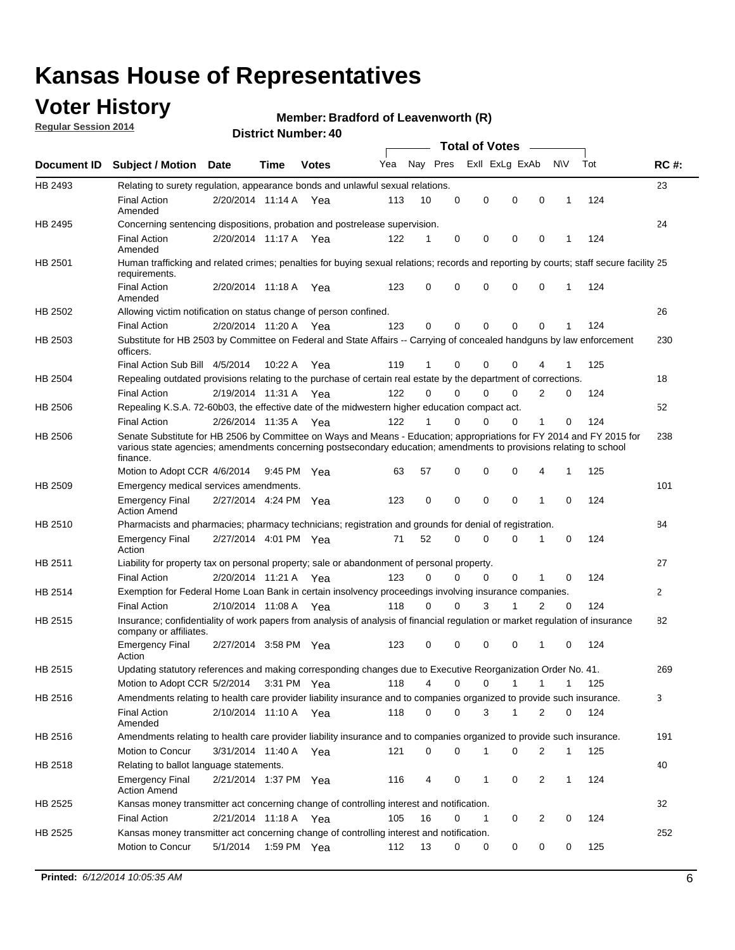## **Voter History**

**Regular Session 2014**

#### **Member: Bradford of Leavenworth (R)**

|                    |                                                                                                                                                                                                                                                        |                       |             |              |     |          |          | <b>Total of Votes</b> |              |                |              |     |              |
|--------------------|--------------------------------------------------------------------------------------------------------------------------------------------------------------------------------------------------------------------------------------------------------|-----------------------|-------------|--------------|-----|----------|----------|-----------------------|--------------|----------------|--------------|-----|--------------|
| <b>Document ID</b> | <b>Subject / Motion Date</b>                                                                                                                                                                                                                           |                       | Time        | <b>Votes</b> | Yea | Nay Pres |          | Exll ExLg ExAb        |              |                | <b>NV</b>    | Tot | <b>RC#:</b>  |
| HB 2493            | Relating to surety regulation, appearance bonds and unlawful sexual relations.                                                                                                                                                                         |                       |             |              |     |          |          |                       |              |                |              |     | 23           |
|                    | <b>Final Action</b><br>Amended                                                                                                                                                                                                                         | 2/20/2014 11:14 A     |             | Yea          | 113 | 10       | 0        | 0                     | $\mathbf 0$  | 0              | $\mathbf 1$  | 124 |              |
| HB 2495            | Concerning sentencing dispositions, probation and postrelease supervision.                                                                                                                                                                             |                       |             |              |     |          |          |                       |              |                |              |     | 24           |
|                    | <b>Final Action</b><br>Amended                                                                                                                                                                                                                         | 2/20/2014 11:17 A Yea |             |              | 122 | 1        | 0        | 0                     | $\mathbf 0$  | $\mathbf 0$    | -1           | 124 |              |
| HB 2501            | Human trafficking and related crimes; penalties for buying sexual relations; records and reporting by courts; staff secure facility 25<br>requirements.                                                                                                |                       |             |              |     |          |          |                       |              |                |              |     |              |
|                    | <b>Final Action</b><br>Amended                                                                                                                                                                                                                         | 2/20/2014 11:18 A Yea |             |              | 123 | $\Omega$ | 0        | 0                     | $\Omega$     | $\mathbf 0$    | 1            | 124 |              |
| HB 2502            | Allowing victim notification on status change of person confined.                                                                                                                                                                                      |                       |             |              |     |          |          |                       |              |                |              |     | 26           |
|                    | <b>Final Action</b>                                                                                                                                                                                                                                    | 2/20/2014 11:20 A Yea |             |              | 123 | $\Omega$ | 0        | $\mathbf{0}$          | $\Omega$     | $\Omega$       |              | 124 |              |
| HB 2503            | Substitute for HB 2503 by Committee on Federal and State Affairs -- Carrying of concealed handguns by law enforcement<br>officers.                                                                                                                     |                       |             |              |     |          |          |                       |              |                |              |     | 230          |
|                    | Final Action Sub Bill 4/5/2014                                                                                                                                                                                                                         |                       | 10:22 A     | Yea          | 119 |          | 0        | 0                     | 0            | 4              |              | 125 |              |
| HB 2504            | Repealing outdated provisions relating to the purchase of certain real estate by the department of corrections.                                                                                                                                        |                       |             |              |     |          |          |                       |              |                |              |     | 18           |
|                    | <b>Final Action</b>                                                                                                                                                                                                                                    | 2/19/2014 11:31 A Yea |             |              | 122 | $\Omega$ | $\Omega$ | 0                     | $\mathbf{0}$ | $\overline{2}$ | 0            | 124 |              |
| HB 2506            | Repealing K.S.A. 72-60b03, the effective date of the midwestern higher education compact act.                                                                                                                                                          |                       |             |              |     |          |          |                       |              |                |              |     | 52           |
|                    | <b>Final Action</b>                                                                                                                                                                                                                                    | 2/26/2014 11:35 A Yea |             |              | 122 |          | $\Omega$ | 0                     | 0            | 1              | 0            | 124 |              |
| HB 2506            | Senate Substitute for HB 2506 by Committee on Ways and Means - Education; appropriations for FY 2014 and FY 2015 for<br>various state agencies; amendments concerning postsecondary education; amendments to provisions relating to school<br>finance. |                       |             |              |     |          |          |                       |              |                |              |     | 238          |
|                    | Motion to Adopt CCR 4/6/2014                                                                                                                                                                                                                           |                       | 9:45 PM Yea |              | 63  | 57       | 0        | 0                     | 0            | 4              | -1           | 125 |              |
| HB 2509            | Emergency medical services amendments.                                                                                                                                                                                                                 |                       |             |              |     |          |          |                       |              |                |              |     | 101          |
|                    | Emergency Final<br><b>Action Amend</b>                                                                                                                                                                                                                 | 2/27/2014 4:24 PM Yea |             |              | 123 | 0        | 0        | $\mathbf 0$           | 0            | $\mathbf{1}$   | 0            | 124 |              |
| HB 2510            | Pharmacists and pharmacies; pharmacy technicians; registration and grounds for denial of registration.                                                                                                                                                 |                       |             |              |     |          |          |                       |              |                |              |     | 84           |
|                    | <b>Emergency Final</b><br>Action                                                                                                                                                                                                                       | 2/27/2014 4:01 PM Yea |             |              | 71  | 52       | 0        | 0                     | 0            | 1              | 0            | 124 |              |
| HB 2511            | Liability for property tax on personal property; sale or abandonment of personal property.                                                                                                                                                             |                       |             |              |     |          |          |                       |              |                |              |     | 27           |
|                    | <b>Final Action</b>                                                                                                                                                                                                                                    | 2/20/2014 11:21 A     |             | Yea          | 123 | $\Omega$ | $\Omega$ | 0                     | 0            | 1              | 0            | 124 |              |
| HB 2514            | Exemption for Federal Home Loan Bank in certain insolvency proceedings involving insurance companies.                                                                                                                                                  |                       |             |              |     |          |          |                       |              |                |              |     | $\mathbf{2}$ |
|                    | <b>Final Action</b>                                                                                                                                                                                                                                    | 2/10/2014 11:08 A     |             | Yea          | 118 | $\Omega$ | $\Omega$ | 3                     | 1            | 2              | $\mathbf 0$  | 124 |              |
| HB 2515            | Insurance; confidentiality of work papers from analysis of analysis of financial regulation or market regulation of insurance<br>company or affiliates.                                                                                                |                       |             |              |     |          |          |                       |              |                |              |     | 82           |
|                    | <b>Emergency Final</b><br>Action                                                                                                                                                                                                                       | 2/27/2014 3:58 PM Yea |             |              | 123 | 0        | 0        | 0                     | 0            | 1              | 0            | 124 |              |
| HB 2515            | Updating statutory references and making corresponding changes due to Executive Reorganization Order No. 41.                                                                                                                                           |                       |             |              |     |          |          |                       |              |                |              |     | 269          |
|                    | Motion to Adopt CCR 5/2/2014 3:31 PM Yea                                                                                                                                                                                                               |                       |             |              | 118 | 4        | 0        | 0                     | $\mathbf{1}$ | $\mathbf{1}$   | $\mathbf{1}$ | 125 |              |
| HB 2516            | Amendments relating to health care provider liability insurance and to companies organized to provide such insurance.                                                                                                                                  |                       |             |              |     |          |          |                       |              |                |              |     | 3            |
|                    | <b>Final Action</b><br>Amended                                                                                                                                                                                                                         | 2/10/2014 11:10 A Yea |             |              | 118 | 0        | 0        | 3                     | 1            | 2              | 0            | 124 |              |
| HB 2516            | Amendments relating to health care provider liability insurance and to companies organized to provide such insurance.                                                                                                                                  |                       |             |              |     |          |          |                       |              |                |              |     | 191          |
|                    | Motion to Concur                                                                                                                                                                                                                                       | 3/31/2014 11:40 A Yea |             |              | 121 | 0        | 0        | 1                     | 0            | 2              | $\mathbf{1}$ | 125 |              |
| HB 2518            | Relating to ballot language statements.                                                                                                                                                                                                                |                       |             |              |     |          |          |                       |              |                |              |     | 40           |
|                    | Emergency Final<br><b>Action Amend</b>                                                                                                                                                                                                                 | 2/21/2014 1:37 PM Yea |             |              | 116 | 4        | 0        | 1                     | 0            | 2              | 1            | 124 |              |
| HB 2525            | Kansas money transmitter act concerning change of controlling interest and notification.                                                                                                                                                               |                       |             |              |     |          |          |                       |              |                |              |     | 32           |
|                    | <b>Final Action</b>                                                                                                                                                                                                                                    | 2/21/2014 11:18 A Yea |             |              | 105 | 16       | 0        | 1                     | 0            | 2              | 0            | 124 |              |
| HB 2525            | Kansas money transmitter act concerning change of controlling interest and notification.                                                                                                                                                               |                       |             |              |     |          |          |                       |              |                |              |     | 252          |
|                    | Motion to Concur                                                                                                                                                                                                                                       | 5/1/2014              |             | 1:59 PM Yea  | 112 | 13       | 0        | 0                     | 0            | 0              | 0            | 125 |              |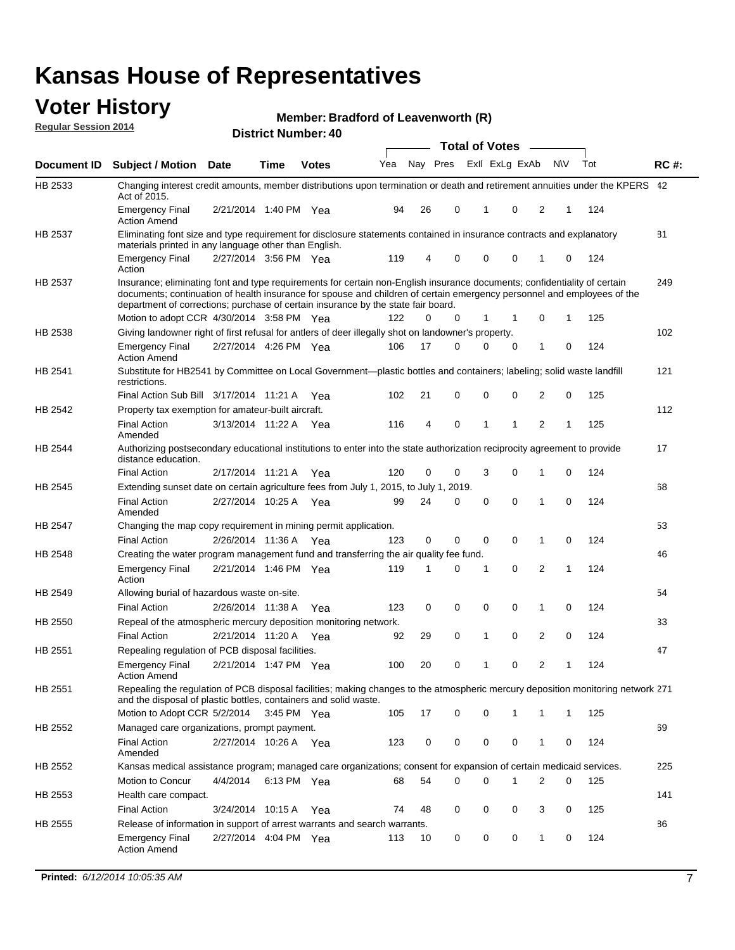#### **Voter History Regular Session 2014**

#### **Member: Bradford of Leavenworth (R)**

|                    |                                                                                                                                                                                                                                                                                                                                           |                       |             |              |     |          |   | <b>Total of Votes</b> |             |                |           |     |             |
|--------------------|-------------------------------------------------------------------------------------------------------------------------------------------------------------------------------------------------------------------------------------------------------------------------------------------------------------------------------------------|-----------------------|-------------|--------------|-----|----------|---|-----------------------|-------------|----------------|-----------|-----|-------------|
| <b>Document ID</b> | <b>Subject / Motion Date</b>                                                                                                                                                                                                                                                                                                              |                       | Time        | <b>Votes</b> | Yea | Nay Pres |   | Exll ExLg ExAb        |             |                | <b>NV</b> | Tot | <b>RC#:</b> |
| HB 2533            | Changing interest credit amounts, member distributions upon termination or death and retirement annuities under the KPERS 42<br>Act of 2015.                                                                                                                                                                                              |                       |             |              |     |          |   |                       |             |                |           |     |             |
|                    | <b>Emergency Final</b><br><b>Action Amend</b>                                                                                                                                                                                                                                                                                             | 2/21/2014 1:40 PM Yea |             |              | 94  | 26       | 0 | 1                     | 0           | 2              | 1         | 124 |             |
| HB 2537            | Eliminating font size and type requirement for disclosure statements contained in insurance contracts and explanatory<br>materials printed in any language other than English.                                                                                                                                                            |                       |             |              |     |          |   |                       |             |                |           |     | 81          |
|                    | <b>Emergency Final</b><br>Action                                                                                                                                                                                                                                                                                                          | 2/27/2014 3:56 PM Yea |             |              | 119 | 4        | 0 | $\mathbf 0$           | $\mathbf 0$ | 1              | 0         | 124 |             |
| HB 2537            | Insurance; eliminating font and type requirements for certain non-English insurance documents; confidentiality of certain<br>documents; continuation of health insurance for spouse and children of certain emergency personnel and employees of the<br>department of corrections; purchase of certain insurance by the state fair board. |                       |             |              |     |          |   |                       |             |                |           |     | 249         |
|                    | Motion to adopt CCR 4/30/2014 3:58 PM Yea                                                                                                                                                                                                                                                                                                 |                       |             |              | 122 | 0        | 0 | 1                     | 1           | 0              | 1         | 125 |             |
| HB 2538            | Giving landowner right of first refusal for antlers of deer illegally shot on landowner's property.                                                                                                                                                                                                                                       |                       |             |              |     |          |   |                       |             |                |           |     | 102         |
|                    | <b>Emergency Final</b><br><b>Action Amend</b>                                                                                                                                                                                                                                                                                             | 2/27/2014 4:26 PM Yea |             |              | 106 | 17       | 0 | $\Omega$              | $\mathbf 0$ | 1              | 0         | 124 |             |
| HB 2541            | Substitute for HB2541 by Committee on Local Government—plastic bottles and containers; labeling; solid waste landfill<br>restrictions.                                                                                                                                                                                                    |                       |             |              |     |          |   |                       |             |                |           |     | 121         |
|                    | Final Action Sub Bill 3/17/2014 11:21 A Yea                                                                                                                                                                                                                                                                                               |                       |             |              | 102 | 21       | 0 | $\mathbf 0$           | $\mathbf 0$ | 2              | 0         | 125 |             |
| HB 2542            | Property tax exemption for amateur-built aircraft.                                                                                                                                                                                                                                                                                        |                       |             |              |     |          |   |                       |             |                |           |     | 112         |
|                    | <b>Final Action</b><br>Amended                                                                                                                                                                                                                                                                                                            | 3/13/2014 11:22 A Yea |             |              | 116 | 4        | 0 | 1                     | 1           | 2              | 1         | 125 |             |
| <b>HB 2544</b>     | Authorizing postsecondary educational institutions to enter into the state authorization reciprocity agreement to provide<br>distance education.                                                                                                                                                                                          |                       |             |              |     |          |   |                       |             |                |           |     | 17          |
|                    | <b>Final Action</b>                                                                                                                                                                                                                                                                                                                       | 2/17/2014 11:21 A     |             | Yea          | 120 | 0        | 0 | 3                     | 0           | 1              | 0         | 124 |             |
| HB 2545            | Extending sunset date on certain agriculture fees from July 1, 2015, to July 1, 2019.                                                                                                                                                                                                                                                     |                       |             |              |     |          |   |                       |             |                |           |     | 68          |
|                    | <b>Final Action</b><br>Amended                                                                                                                                                                                                                                                                                                            | 2/27/2014 10:25 A Yea |             |              | 99  | 24       | 0 | 0                     | 0           | 1              | 0         | 124 |             |
| HB 2547            | Changing the map copy requirement in mining permit application.                                                                                                                                                                                                                                                                           |                       |             |              |     |          |   |                       |             |                |           |     | 53          |
|                    | <b>Final Action</b>                                                                                                                                                                                                                                                                                                                       | 2/26/2014 11:36 A Yea |             |              | 123 | 0        | 0 | $\mathbf 0$           | 0           | 1              | 0         | 124 |             |
| HB 2548            | Creating the water program management fund and transferring the air quality fee fund.                                                                                                                                                                                                                                                     |                       |             |              |     |          |   |                       |             |                |           |     | 46          |
|                    | <b>Emergency Final</b><br>Action                                                                                                                                                                                                                                                                                                          | 2/21/2014 1:46 PM Yea |             |              | 119 | 1        | 0 | 1                     | 0           | 2              | 1         | 124 |             |
| HB 2549            | Allowing burial of hazardous waste on-site.                                                                                                                                                                                                                                                                                               |                       |             |              |     |          |   |                       |             |                |           |     | 54          |
|                    | <b>Final Action</b>                                                                                                                                                                                                                                                                                                                       | 2/26/2014 11:38 A     |             | Yea          | 123 | 0        | 0 | 0                     | 0           | 1              | 0         | 124 |             |
| HB 2550            | Repeal of the atmospheric mercury deposition monitoring network.                                                                                                                                                                                                                                                                          |                       |             |              |     |          |   |                       |             |                |           |     | 33          |
|                    | <b>Final Action</b>                                                                                                                                                                                                                                                                                                                       | 2/21/2014 11:20 A Yea |             |              | 92  | 29       | 0 | 1                     | 0           | $\overline{2}$ | 0         | 124 |             |
| HB 2551            | Repealing regulation of PCB disposal facilities.                                                                                                                                                                                                                                                                                          |                       |             |              |     |          |   |                       |             |                |           |     | 47          |
|                    | <b>Emergency Final</b><br><b>Action Amend</b>                                                                                                                                                                                                                                                                                             | 2/21/2014 1:47 PM Yea |             |              | 100 | 20       | 0 | 1                     | 0           | $\overline{2}$ | 1         | 124 |             |
| HB 2551            | Repealing the regulation of PCB disposal facilities; making changes to the atmospheric mercury deposition monitoring network 271<br>and the disposal of plastic bottles, containers and solid waste.                                                                                                                                      |                       |             |              |     |          |   |                       |             |                |           |     |             |
|                    | Motion to Adopt CCR 5/2/2014                                                                                                                                                                                                                                                                                                              |                       | 3:45 PM Yea |              | 105 | 17       | 0 | 0                     | 1           | 1              | 1         | 125 |             |
| HB 2552            | Managed care organizations, prompt payment.                                                                                                                                                                                                                                                                                               |                       |             |              |     |          |   |                       |             |                |           |     | 69          |
|                    | <b>Final Action</b><br>Amended                                                                                                                                                                                                                                                                                                            | 2/27/2014 10:26 A Yea |             |              | 123 | 0        | 0 | 0                     | 0           | 1              | 0         | 124 |             |
| HB 2552            | Kansas medical assistance program; managed care organizations; consent for expansion of certain medicaid services.                                                                                                                                                                                                                        |                       |             |              |     |          |   |                       |             |                |           |     | 225         |
|                    | Motion to Concur                                                                                                                                                                                                                                                                                                                          | 4/4/2014              |             | 6:13 PM Yea  | 68  | 54       | 0 | 0                     | 1           | 2              | 0         | 125 |             |
| HB 2553            | Health care compact.                                                                                                                                                                                                                                                                                                                      |                       |             |              |     |          |   |                       |             |                |           |     | 141         |
|                    | <b>Final Action</b>                                                                                                                                                                                                                                                                                                                       | 3/24/2014 10:15 A Yea |             |              | 74  | 48       | 0 | 0                     | 0           | 3              | 0         | 125 |             |
| HB 2555            | Release of information in support of arrest warrants and search warrants.                                                                                                                                                                                                                                                                 |                       |             |              |     |          |   |                       |             |                |           |     | 86          |
|                    | <b>Emergency Final</b><br><b>Action Amend</b>                                                                                                                                                                                                                                                                                             | 2/27/2014 4:04 PM Yea |             |              | 113 | 10       | 0 | 0                     | 0           | 1              | 0         | 124 |             |
|                    |                                                                                                                                                                                                                                                                                                                                           |                       |             |              |     |          |   |                       |             |                |           |     |             |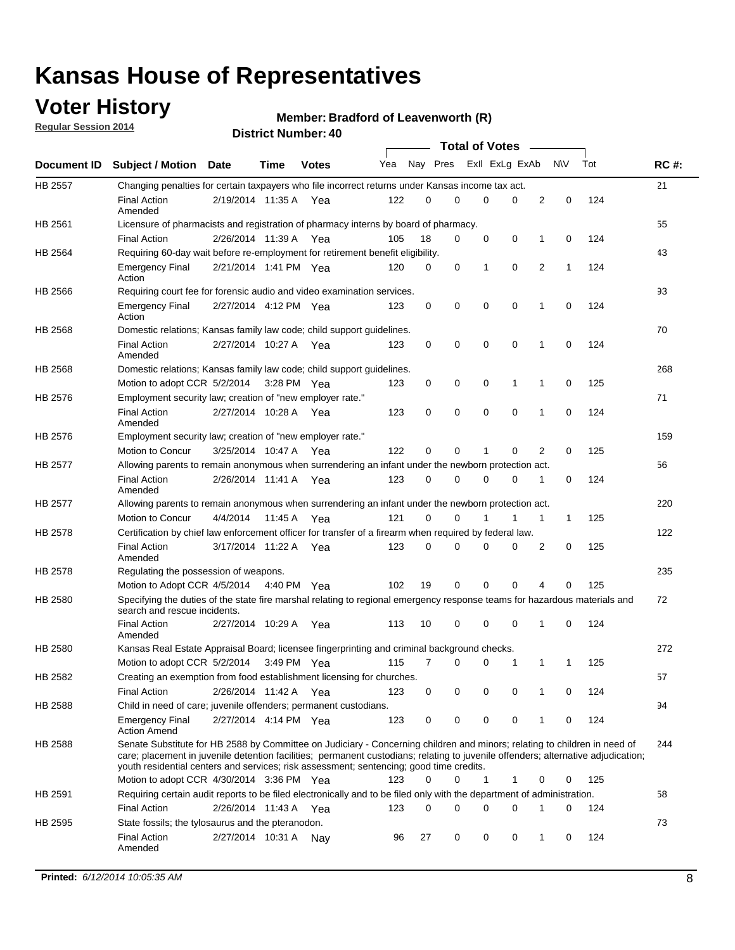## **Voter History**

**Regular Session 2014**

#### **Member: Bradford of Leavenworth (R)**

|                |                                                                                                                                                                                                                                                                                                                                                           |                       |             | טוי וסעווווער ואווווער |     |    |             | <b>Total of Votes</b>   |             |   |              |     |             |
|----------------|-----------------------------------------------------------------------------------------------------------------------------------------------------------------------------------------------------------------------------------------------------------------------------------------------------------------------------------------------------------|-----------------------|-------------|------------------------|-----|----|-------------|-------------------------|-------------|---|--------------|-----|-------------|
| Document ID    | <b>Subject / Motion Date</b>                                                                                                                                                                                                                                                                                                                              |                       | <b>Time</b> | <b>Votes</b>           | Yea |    |             | Nay Pres ExII ExLg ExAb |             |   | <b>NV</b>    | Tot | <b>RC#:</b> |
| <b>HB 2557</b> | Changing penalties for certain taxpayers who file incorrect returns under Kansas income tax act.                                                                                                                                                                                                                                                          |                       |             |                        |     |    |             |                         |             |   |              |     | 21          |
|                | <b>Final Action</b><br>Amended                                                                                                                                                                                                                                                                                                                            | 2/19/2014 11:35 A Yea |             |                        | 122 | 0  | $\Omega$    | $\Omega$                | 0           | 2 | 0            | 124 |             |
| HB 2561        | Licensure of pharmacists and registration of pharmacy interns by board of pharmacy.                                                                                                                                                                                                                                                                       |                       |             |                        |     |    |             |                         |             |   |              |     | 55          |
|                | <b>Final Action</b>                                                                                                                                                                                                                                                                                                                                       | 2/26/2014 11:39 A     |             | Yea                    | 105 | 18 | 0           | 0                       | 0           | 1 | 0            | 124 |             |
| HB 2564        | Requiring 60-day wait before re-employment for retirement benefit eligibility.                                                                                                                                                                                                                                                                            |                       |             |                        |     |    |             |                         |             |   |              |     | 43          |
|                | <b>Emergency Final</b><br>Action                                                                                                                                                                                                                                                                                                                          | 2/21/2014 1:41 PM Yea |             |                        | 120 | 0  | 0           | 1                       | $\mathbf 0$ | 2 | $\mathbf{1}$ | 124 |             |
| <b>HB 2566</b> | Requiring court fee for forensic audio and video examination services.                                                                                                                                                                                                                                                                                    |                       |             |                        |     |    |             |                         |             |   |              |     | 93          |
|                | <b>Emergency Final</b><br>Action                                                                                                                                                                                                                                                                                                                          | 2/27/2014 4:12 PM Yea |             |                        | 123 | 0  | 0           | 0                       | $\mathbf 0$ | 1 | 0            | 124 |             |
| HB 2568        | Domestic relations; Kansas family law code; child support guidelines.                                                                                                                                                                                                                                                                                     |                       |             |                        |     |    |             |                         |             |   |              |     | 70          |
|                | <b>Final Action</b><br>Amended                                                                                                                                                                                                                                                                                                                            | 2/27/2014 10:27 A Yea |             |                        | 123 | 0  | 0           | $\mathbf 0$             | $\mathbf 0$ | 1 | $\mathbf 0$  | 124 |             |
| <b>HB 2568</b> | Domestic relations; Kansas family law code; child support guidelines.                                                                                                                                                                                                                                                                                     |                       |             |                        |     |    |             |                         |             |   |              |     | 268         |
|                | Motion to adopt CCR 5/2/2014                                                                                                                                                                                                                                                                                                                              |                       | 3:28 PM Yea |                        | 123 | 0  | 0           | 0                       | 1           | 1 | 0            | 125 |             |
| <b>HB 2576</b> | Employment security law; creation of "new employer rate."                                                                                                                                                                                                                                                                                                 |                       |             |                        |     |    |             |                         |             |   |              |     | 71          |
|                | <b>Final Action</b><br>Amended                                                                                                                                                                                                                                                                                                                            | 2/27/2014 10:28 A Yea |             |                        | 123 | 0  | $\mathbf 0$ | $\mathbf 0$             | $\mathbf 0$ | 1 | 0            | 124 |             |
| HB 2576        | Employment security law; creation of "new employer rate."                                                                                                                                                                                                                                                                                                 |                       |             |                        |     |    |             |                         |             |   |              |     | 159         |
|                | Motion to Concur                                                                                                                                                                                                                                                                                                                                          | 3/25/2014 10:47 A     |             | Yea                    | 122 | 0  | 0           | 1                       | 0           | 2 | 0            | 125 |             |
| HB 2577        | Allowing parents to remain anonymous when surrendering an infant under the newborn protection act.                                                                                                                                                                                                                                                        |                       |             |                        |     |    |             |                         |             |   |              |     | 56          |
|                | <b>Final Action</b><br>Amended                                                                                                                                                                                                                                                                                                                            | 2/26/2014 11:41 A Yea |             |                        | 123 | 0  | 0           | 0                       | 0           | 1 | 0            | 124 |             |
| HB 2577        | Allowing parents to remain anonymous when surrendering an infant under the newborn protection act.                                                                                                                                                                                                                                                        |                       |             |                        |     |    |             |                         |             |   |              |     | 220         |
|                | <b>Motion to Concur</b>                                                                                                                                                                                                                                                                                                                                   | 4/4/2014              | 11:45 A     | Yea                    | 121 | 0  | 0           |                         | 1           | 1 | $\mathbf{1}$ | 125 |             |
| HB 2578        | Certification by chief law enforcement officer for transfer of a firearm when required by federal law.                                                                                                                                                                                                                                                    |                       |             |                        |     |    |             |                         |             |   |              |     | 122         |
|                | <b>Final Action</b><br>Amended                                                                                                                                                                                                                                                                                                                            | 3/17/2014 11:22 A Yea |             |                        | 123 | 0  | 0           | 0                       | 0           | 2 | 0            | 125 |             |
| <b>HB 2578</b> | Regulating the possession of weapons.                                                                                                                                                                                                                                                                                                                     |                       |             |                        |     |    |             |                         |             |   |              |     | 235         |
|                | Motion to Adopt CCR 4/5/2014 4:40 PM Yea                                                                                                                                                                                                                                                                                                                  |                       |             |                        | 102 | 19 | 0           | 0                       | $\mathbf 0$ | 4 | 0            | 125 |             |
| <b>HB 2580</b> | Specifying the duties of the state fire marshal relating to regional emergency response teams for hazardous materials and<br>search and rescue incidents.                                                                                                                                                                                                 |                       |             |                        |     |    |             |                         |             |   |              |     | 72          |
|                | <b>Final Action</b><br>Amended                                                                                                                                                                                                                                                                                                                            | 2/27/2014 10:29 A     |             | Yea                    | 113 | 10 | 0           | 0                       | 0           | 1 | 0            | 124 |             |
| HB 2580        | Kansas Real Estate Appraisal Board; licensee fingerprinting and criminal background checks.                                                                                                                                                                                                                                                               |                       |             |                        |     |    |             |                         |             |   |              |     | 272         |
|                | Motion to adopt CCR 5/2/2014 3:49 PM Yea                                                                                                                                                                                                                                                                                                                  |                       |             |                        | 115 | 7  | 0           | 0                       | 1           | 1 | $\mathbf{1}$ | 125 |             |
| HB 2582        | Creating an exemption from food establishment licensing for churches.                                                                                                                                                                                                                                                                                     |                       |             |                        |     |    |             |                         |             |   |              |     | 57          |
|                | <b>Final Action</b>                                                                                                                                                                                                                                                                                                                                       | 2/26/2014 11:42 A     |             | Yea                    | 123 | 0  | 0           | 0                       | 0           |   | 0            | 124 |             |
| HB 2588        | Child in need of care; juvenile offenders; permanent custodians.                                                                                                                                                                                                                                                                                          |                       |             |                        |     |    |             |                         |             |   |              |     | 94          |
|                | <b>Emergency Final</b><br><b>Action Amend</b>                                                                                                                                                                                                                                                                                                             | 2/27/2014 4:14 PM Yea |             |                        | 123 | 0  | 0           | 0                       | 0           | 1 | 0            | 124 |             |
| HB 2588        | Senate Substitute for HB 2588 by Committee on Judiciary - Concerning children and minors; relating to children in need of<br>care; placement in juvenile detention facilities; permanent custodians; relating to juvenile offenders; alternative adjudication;<br>youth residential centers and services; risk assessment; sentencing; good time credits. |                       |             |                        |     |    |             |                         |             |   |              |     | 244         |
|                | Motion to adopt CCR 4/30/2014 3:36 PM Yea                                                                                                                                                                                                                                                                                                                 |                       |             |                        | 123 | 0  | 0           | $\mathbf{1}$            | 1           | 0 | 0            | 125 |             |
| HB 2591        | Requiring certain audit reports to be filed electronically and to be filed only with the department of administration.                                                                                                                                                                                                                                    |                       |             |                        |     |    |             |                         |             |   |              |     | 58          |
|                | <b>Final Action</b>                                                                                                                                                                                                                                                                                                                                       | 2/26/2014 11:43 A     |             | Yea                    | 123 | 0  | 0           | 0                       | 0           | 1 | 0            | 124 |             |
| HB 2595        | State fossils; the tylosaurus and the pteranodon.                                                                                                                                                                                                                                                                                                         |                       |             |                        |     |    |             |                         |             |   |              |     | 73          |
|                | <b>Final Action</b><br>Amended                                                                                                                                                                                                                                                                                                                            | 2/27/2014 10:31 A Nay |             |                        | 96  | 27 | 0           | 0                       | 0           | 1 | 0            | 124 |             |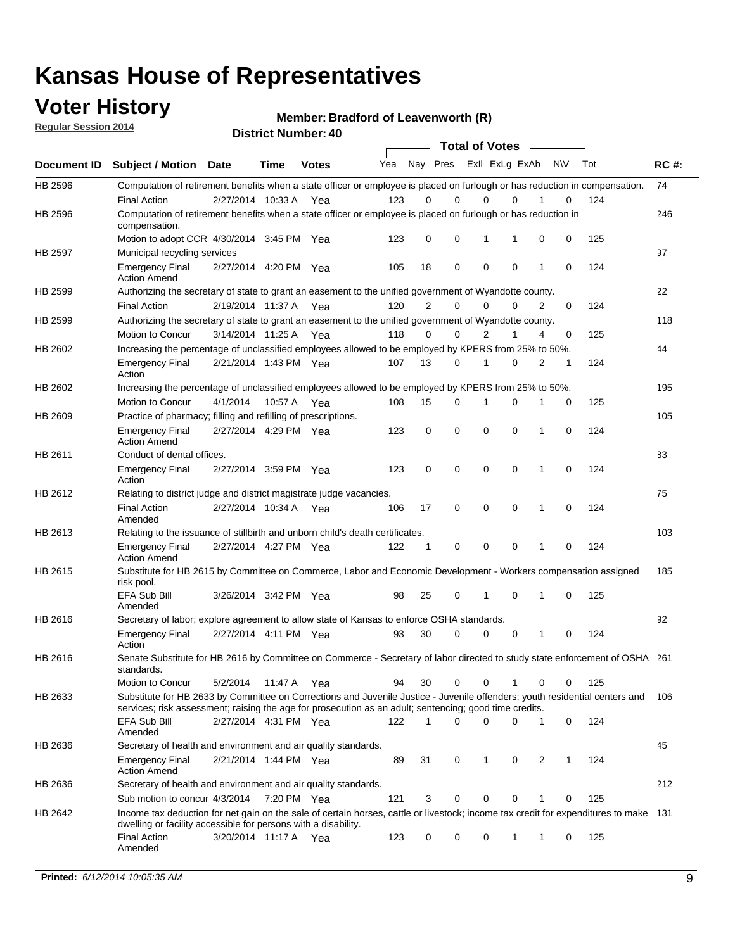### **Voter History**

**Regular Session 2014**

**Member: Bradford of Leavenworth (R)** 

|             |                                                                                                                                                                                                                                       |                       |             | <b>DISUILLINUIIINGI. 40</b> |     |              |             | <b>Total of Votes</b>   |             |   |             |     |             |
|-------------|---------------------------------------------------------------------------------------------------------------------------------------------------------------------------------------------------------------------------------------|-----------------------|-------------|-----------------------------|-----|--------------|-------------|-------------------------|-------------|---|-------------|-----|-------------|
| Document ID | <b>Subject / Motion Date</b>                                                                                                                                                                                                          |                       | Time        | <b>Votes</b>                | Yea |              |             | Nay Pres Exll ExLg ExAb |             |   | N\V         | Tot | <b>RC#:</b> |
| HB 2596     | Computation of retirement benefits when a state officer or employee is placed on furlough or has reduction in compensation.                                                                                                           |                       |             |                             |     |              |             |                         |             |   |             |     | 74          |
|             | <b>Final Action</b>                                                                                                                                                                                                                   | 2/27/2014 10:33 A     |             | Yea                         | 123 | 0            | $\Omega$    | 0                       | $\Omega$    |   | 0           | 124 |             |
| HB 2596     | Computation of retirement benefits when a state officer or employee is placed on furlough or has reduction in<br>compensation.                                                                                                        |                       |             |                             |     |              |             |                         |             |   |             |     | 246         |
|             | Motion to adopt CCR 4/30/2014 3:45 PM Yea                                                                                                                                                                                             |                       |             |                             | 123 | 0            | 0           | 1                       | 1           | 0 | 0           | 125 |             |
| HB 2597     | Municipal recycling services                                                                                                                                                                                                          |                       |             |                             |     |              |             |                         |             |   |             |     | 97          |
|             | <b>Emergency Final</b><br><b>Action Amend</b>                                                                                                                                                                                         | 2/27/2014 4:20 PM Yea |             |                             | 105 | 18           | 0           | 0                       | $\mathbf 0$ | 1 | $\mathbf 0$ | 124 |             |
| HB 2599     | Authorizing the secretary of state to grant an easement to the unified government of Wyandotte county.                                                                                                                                |                       |             |                             |     |              |             |                         |             |   |             |     | 22          |
|             | <b>Final Action</b>                                                                                                                                                                                                                   | 2/19/2014 11:37 A Yea |             |                             | 120 | 2            | 0           | 0                       | $\Omega$    | 2 | 0           | 124 |             |
| HB 2599     | Authorizing the secretary of state to grant an easement to the unified government of Wyandotte county.                                                                                                                                |                       |             |                             |     |              |             |                         |             |   |             |     | 118         |
|             | Motion to Concur                                                                                                                                                                                                                      | 3/14/2014 11:25 A Yea |             |                             | 118 | 0            | 0           | 2                       | 1           | 4 | 0           | 125 |             |
| HB 2602     | Increasing the percentage of unclassified employees allowed to be employed by KPERS from 25% to 50%.                                                                                                                                  |                       |             |                             |     |              |             |                         |             |   |             |     | 44          |
|             | <b>Emergency Final</b><br>Action                                                                                                                                                                                                      | 2/21/2014 1:43 PM Yea |             |                             | 107 | 13           | 0           | 1                       | 0           | 2 | 1           | 124 |             |
| HB 2602     | Increasing the percentage of unclassified employees allowed to be employed by KPERS from 25% to 50%.                                                                                                                                  |                       |             |                             |     |              |             |                         |             |   |             |     | 195         |
|             | Motion to Concur                                                                                                                                                                                                                      | 4/1/2014              | 10:57 A     | Yea                         | 108 | 15           | 0           | 1                       | $\Omega$    |   | 0           | 125 |             |
| HB 2609     | Practice of pharmacy; filling and refilling of prescriptions.                                                                                                                                                                         |                       |             |                             |     |              |             |                         |             |   |             |     | 105         |
|             | <b>Emergency Final</b><br><b>Action Amend</b>                                                                                                                                                                                         | 2/27/2014 4:29 PM Yea |             |                             | 123 | 0            | $\mathbf 0$ | $\mathbf 0$             | 0           | 1 | 0           | 124 |             |
| HB 2611     | Conduct of dental offices.                                                                                                                                                                                                            |                       |             |                             |     |              |             |                         |             |   |             |     | 83          |
|             | <b>Emergency Final</b><br>Action                                                                                                                                                                                                      | 2/27/2014 3:59 PM Yea |             |                             | 123 | 0            | $\mathbf 0$ | $\mathbf 0$             | $\mathbf 0$ | 1 | 0           | 124 |             |
| HB 2612     | Relating to district judge and district magistrate judge vacancies.                                                                                                                                                                   |                       |             |                             |     |              |             |                         |             |   |             |     | 75          |
|             | <b>Final Action</b><br>Amended                                                                                                                                                                                                        | 2/27/2014 10:34 A     |             | Yea                         | 106 | 17           | $\mathbf 0$ | $\mathbf 0$             | $\mathbf 0$ | 1 | $\mathbf 0$ | 124 |             |
| HB 2613     | Relating to the issuance of stillbirth and unborn child's death certificates.                                                                                                                                                         |                       |             |                             |     |              |             |                         |             |   |             |     | 103         |
|             | <b>Emergency Final</b><br><b>Action Amend</b>                                                                                                                                                                                         | 2/27/2014 4:27 PM Yea |             |                             | 122 | $\mathbf{1}$ | 0           | $\mathbf 0$             | $\Omega$    | 1 | 0           | 124 |             |
| HB 2615     | Substitute for HB 2615 by Committee on Commerce, Labor and Economic Development - Workers compensation assigned<br>risk pool.                                                                                                         |                       |             |                             |     |              |             |                         |             |   |             |     | 185         |
|             | <b>EFA Sub Bill</b><br>Amended                                                                                                                                                                                                        | 3/26/2014 3:42 PM Yea |             |                             | 98  | 25           | 0           | 1                       | 0           | 1 | 0           | 125 |             |
| HB 2616     | Secretary of labor; explore agreement to allow state of Kansas to enforce OSHA standards.                                                                                                                                             |                       |             |                             |     |              |             |                         |             |   |             |     | 92          |
|             | <b>Emergency Final</b><br>Action                                                                                                                                                                                                      | 2/27/2014 4:11 PM Yea |             |                             | 93  | 30           | 0           | 0                       | 0           | 1 | 0           | 124 |             |
| HB 2616     | Senate Substitute for HB 2616 by Committee on Commerce - Secretary of labor directed to study state enforcement of OSHA 261<br>standards.                                                                                             |                       |             |                             |     |              |             |                         |             |   |             |     |             |
|             | Motion to Concur                                                                                                                                                                                                                      | 5/2/2014              | 11:47 A Yea |                             | 94  | 30           | 0           | 0                       | 1           | 0 | 0           | 125 |             |
| HB 2633     | Substitute for HB 2633 by Committee on Corrections and Juvenile Justice - Juvenile offenders; youth residential centers and<br>services; risk assessment; raising the age for prosecution as an adult; sentencing; good time credits. |                       |             |                             |     |              |             |                         |             |   |             |     | 106         |
|             | <b>EFA Sub Bill</b><br>Amended                                                                                                                                                                                                        | 2/27/2014 4:31 PM Yea |             |                             | 122 | $\mathbf 1$  | 0           | 0                       | 0           | 1 | 0           | 124 |             |
| HB 2636     | Secretary of health and environment and air quality standards.                                                                                                                                                                        |                       |             |                             |     |              |             |                         |             |   |             |     | 45          |
|             | <b>Emergency Final</b><br><b>Action Amend</b>                                                                                                                                                                                         | 2/21/2014 1:44 PM Yea |             |                             | 89  | 31           | 0           | 1                       | 0           | 2 | 1           | 124 |             |
| HB 2636     | Secretary of health and environment and air quality standards.                                                                                                                                                                        |                       |             |                             |     |              |             |                         |             |   |             |     | 212         |
|             | Sub motion to concur 4/3/2014                                                                                                                                                                                                         |                       | 7:20 PM Yea |                             | 121 | 3            | 0           | 0                       | 0           | 1 | 0           | 125 |             |
| HB 2642     | Income tax deduction for net gain on the sale of certain horses, cattle or livestock; income tax credit for expenditures to make 131<br>dwelling or facility accessible for persons with a disability.                                |                       |             |                             |     |              |             |                         |             |   |             |     |             |
|             | <b>Final Action</b><br>Amended                                                                                                                                                                                                        | 3/20/2014 11:17 A Yea |             |                             | 123 | 0            | 0           | 0                       | 1           | 1 | 0           | 125 |             |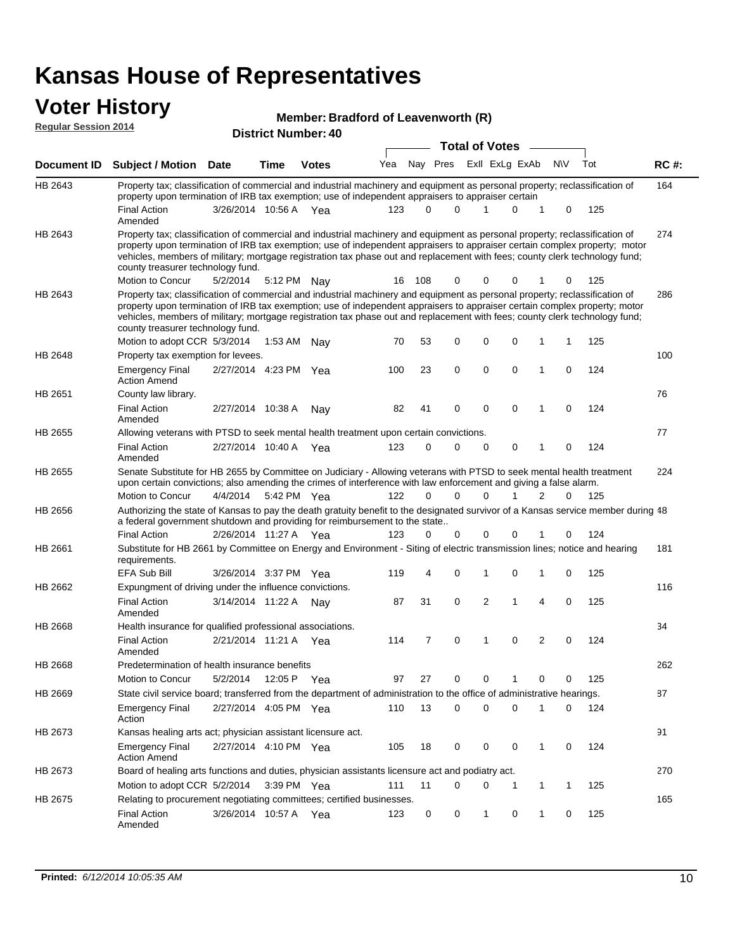### **Voter History**

| Member: Bradford of Leavenworth (R) |  |
|-------------------------------------|--|

**Document ID Subject / Motion Date Time Votes** Yea Nay Pres ExII ExLg ExAb N\V Tot RC #: **District Number: 40 Bradford of Leavenworth (R) Date Votes Total of Votes Time Regular Session 2014** ExII ExLg ExAb 164 Final Action 3/26/2014 10:56 A Yea 123 0 0 1 0 125 HB 2643 Amended Property tax; classification of commercial and industrial machinery and equipment as personal property; reclassification of property upon termination of IRB tax exemption; use of independent appraisers to appraiser certain 274 5/2/2014 HB 2643 Motion to Concur 5/2/2014 5:12 PM Nay 16 108 0 0 0 1 0 125 Property tax; classification of commercial and industrial machinery and equipment as personal property; reclassification of property upon termination of IRB tax exemption; use of independent appraisers to appraiser certain complex property; motor vehicles, members of military; mortgage registration tax phase out and replacement with fees; county clerk technology fund; county treasurer technology fund. 286 Motion to adopt CCR 5/3/2014 1:53 AM Nay 70 53 0 0 0 1 1 125 HB 2643 Property tax; classification of commercial and industrial machinery and equipment as personal property; reclassification of property upon termination of IRB tax exemption; use of independent appraisers to appraiser certain complex property; motor vehicles, members of military; mortgage registration tax phase out and replacement with fees; county clerk technology fund; county treasurer technology fund. 1:53 AM Nav 70 53 0 0 0 1 1 100 Emergency Final 2/27/2014 4:23 PM Yea 100 23 0 0 0 1 0 124 HB 2648 Action Amend Property tax exemption for levees. 76 Final Action 2/27/2014 10:38 A Nay 82 41 0 0 0 1 0 124 HB 2651 Amended County law library. 77 2/27/2014 Final Action Yea 124 10:40 A 123 0 0 0 10 0 HB 2655 Amended Allowing veterans with PTSD to seek mental health treatment upon certain convictions. 224 4/4/2014 HB 2655 Motion to Concur Yea 125 5:42 PM 122 0 1 0 20 0 Senate Substitute for HB 2655 by Committee on Judiciary - Allowing veterans with PTSD to seek mental health treatment upon certain convictions; also amending the crimes of interference with law enforcement and giving a false alarm. 48 Authorizing the state of Kansas to pay the death gratuity benefit to the designated survivor of a Kansas service member during 2/26/2014 Final Action Yea 124 11:27 A 123 0 0 0 10 0 HB 2656 a federal government shutdown and providing for reimbursement to the state.. 181 3/26/2014 EFA Sub Bill Yea 125 3:37 PM 119 4 0 0 10 1 HB 2661 Substitute for HB 2661 by Committee on Energy and Environment - Siting of electric transmission lines; notice and hearing requirements. 116 Final Action 3/14/2014 11:22 A Nay 87 31 0 2 1 4 0 125 HB 2662 Amended Expungment of driving under the influence convictions. 34 2/21/2014 Final Action Yea 124 11:21 A 114 7 0 0 20 1 HB 2668 Amended Health insurance for qualified professional associations. 262 5/2/2014 HB 2668 Motion to Concur 5/2/2014 12:05 P Yea 97 27 0 0 1 0 0 125 Predetermination of health insurance benefits 12:05 P Yea 97 27 0 0 1 0 0 87 2/27/2014 Emergency Final Yea 124 4:05 PM 110 13 0 0 10 0 HB 2669 Action State civil service board; transferred from the department of administration to the office of administrative hearings. 91 Emergency Final 2/27/2014 4:10 PM Yea 405 18 0 0 0 1 0 124 HB 2673 Action Amend Kansas healing arts act; physician assistant licensure act. 270 Motion to adopt CCR 5/2/2014 3:39 PM Yea 111 11 0 0 1 1 1 125 HB 2673 Board of healing arts functions and duties, physician assistants licensure act and podiatry act. 3:39 PM Yea 111 11 0 0 1 1 1 165 Final Action 3/26/2014 10:57 A Yea 123 0 0 1 0 125 HB 2675 Amended Relating to procurement negotiating committees; certified businesses.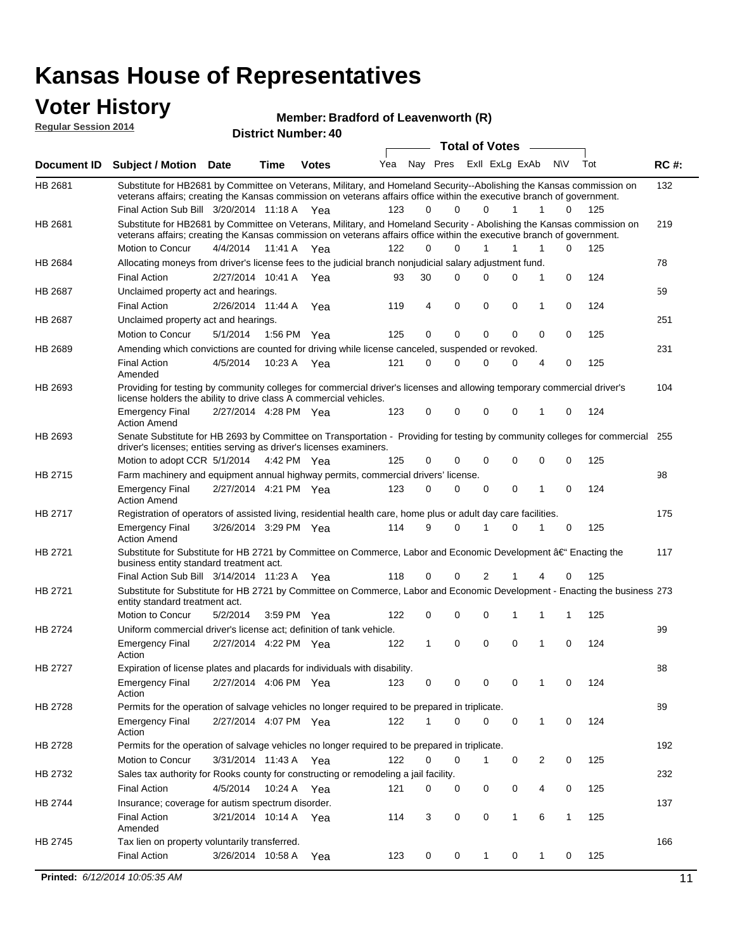#### **Voter History Regular Session 2014**

#### **Member: Bradford of Leavenworth (R)**

| noguidi ocoololi 4014 |                                                                                                                                                                                                                                                 |                       |             | <b>District Number: 40</b> |     |    |             |  |                       |                |                |           |     |             |
|-----------------------|-------------------------------------------------------------------------------------------------------------------------------------------------------------------------------------------------------------------------------------------------|-----------------------|-------------|----------------------------|-----|----|-------------|--|-----------------------|----------------|----------------|-----------|-----|-------------|
|                       |                                                                                                                                                                                                                                                 |                       |             |                            |     |    |             |  | <b>Total of Votes</b> |                |                |           |     |             |
| Document ID           | <b>Subject / Motion Date</b>                                                                                                                                                                                                                    |                       | <b>Time</b> | <b>Votes</b>               | Yea |    | Nay Pres    |  |                       | Exll ExLg ExAb |                | <b>NV</b> | Tot | <b>RC#:</b> |
| HB 2681               | Substitute for HB2681 by Committee on Veterans, Military, and Homeland Security--Abolishing the Kansas commission on<br>veterans affairs; creating the Kansas commission on veterans affairs office within the executive branch of government.  |                       |             |                            |     |    |             |  |                       |                |                |           |     | 132         |
|                       | Final Action Sub Bill 3/20/2014 11:18 A Yea                                                                                                                                                                                                     |                       |             |                            | 123 | 0  | 0           |  | $\Omega$              | 1              | 1              | 0         | 125 |             |
| HB 2681               | Substitute for HB2681 by Committee on Veterans, Military, and Homeland Security - Abolishing the Kansas commission on<br>veterans affairs; creating the Kansas commission on veterans affairs office within the executive branch of government. |                       |             |                            |     |    |             |  |                       |                |                |           |     | 219         |
|                       | Motion to Concur                                                                                                                                                                                                                                | 4/4/2014              | 11:41 A     | Yea                        | 122 | 0  | $\Omega$    |  | 1                     | 1              | 1              | 0         | 125 |             |
| HB 2684               | Allocating moneys from driver's license fees to the judicial branch nonjudicial salary adjustment fund.                                                                                                                                         |                       |             |                            |     |    |             |  |                       |                |                |           |     | 78          |
|                       | <b>Final Action</b>                                                                                                                                                                                                                             | 2/27/2014 10:41 A Yea |             |                            | 93  | 30 | $\Omega$    |  | 0                     | $\Omega$       | 1              | 0         | 124 |             |
| HB 2687               | Unclaimed property act and hearings.                                                                                                                                                                                                            |                       |             |                            |     |    |             |  |                       |                |                |           |     | 59          |
|                       | <b>Final Action</b>                                                                                                                                                                                                                             | 2/26/2014 11:44 A     |             | Yea                        | 119 | 4  | $\mathbf 0$ |  | $\mathbf 0$           | 0              | 1              | 0         | 124 |             |
| HB 2687               | Unclaimed property act and hearings.                                                                                                                                                                                                            |                       |             |                            |     |    |             |  |                       |                |                |           |     | 251         |
|                       | Motion to Concur                                                                                                                                                                                                                                | 5/1/2014              | 1:56 PM     | Yea                        | 125 | 0  | $\mathbf 0$ |  | $\mathbf 0$           | $\mathbf 0$    | 0              | 0         | 125 |             |
| HB 2689               | Amending which convictions are counted for driving while license canceled, suspended or revoked.                                                                                                                                                |                       |             |                            |     |    |             |  |                       |                |                |           |     | 231         |
|                       | <b>Final Action</b><br>Amended                                                                                                                                                                                                                  | 4/5/2014              | 10:23 A     | Yea                        | 121 | 0  | 0           |  | 0                     | $\Omega$       | 4              | 0         | 125 |             |
| HB 2693               | Providing for testing by community colleges for commercial driver's licenses and allowing temporary commercial driver's<br>license holders the ability to drive class A commercial vehicles.                                                    |                       |             |                            |     |    |             |  |                       |                |                |           |     | 104         |
|                       | <b>Emergency Final</b><br><b>Action Amend</b>                                                                                                                                                                                                   | 2/27/2014 4:28 PM Yea |             |                            | 123 | 0  | $\Omega$    |  | 0                     | $\Omega$       | 1              | 0         | 124 |             |
| HB 2693               | Senate Substitute for HB 2693 by Committee on Transportation - Providing for testing by community colleges for commercial 255<br>driver's licenses; entities serving as driver's licenses examiners.                                            |                       |             |                            |     |    |             |  |                       |                |                |           |     |             |
|                       | Motion to adopt CCR 5/1/2014                                                                                                                                                                                                                    |                       |             | 4:42 PM Yea                | 125 | 0  | 0           |  | 0                     | $\Omega$       | 0              | 0         | 125 |             |
| HB 2715               | Farm machinery and equipment annual highway permits, commercial drivers' license.                                                                                                                                                               |                       |             |                            |     |    |             |  |                       |                |                |           |     | 98          |
|                       | <b>Emergency Final</b><br><b>Action Amend</b>                                                                                                                                                                                                   | 2/27/2014 4:21 PM Yea |             |                            | 123 | 0  | 0           |  | 0                     | 0              | 1              | 0         | 124 |             |
| HB 2717               | Registration of operators of assisted living, residential health care, home plus or adult day care facilities.                                                                                                                                  |                       |             |                            |     |    |             |  |                       |                |                |           |     | 175         |
|                       | <b>Emergency Final</b><br><b>Action Amend</b>                                                                                                                                                                                                   | 3/26/2014 3:29 PM Yea |             |                            | 114 | 9  | $\Omega$    |  |                       | $\Omega$       |                | 0         | 125 |             |
| HB 2721               | Substitute for Substitute for HB 2721 by Committee on Commerce, Labor and Economic Development †Enacting the<br>business entity standard treatment act.                                                                                         |                       |             |                            |     |    |             |  |                       |                |                |           |     | 117         |
|                       | Final Action Sub Bill 3/14/2014 11:23 A Yea                                                                                                                                                                                                     |                       |             |                            | 118 | 0  | 0           |  | 2                     |                | 4              | 0         | 125 |             |
| HB 2721               | Substitute for Substitute for HB 2721 by Committee on Commerce, Labor and Economic Development - Enacting the business 273<br>entity standard treatment act.                                                                                    |                       |             |                            |     |    |             |  |                       |                |                |           |     |             |
|                       | Motion to Concur                                                                                                                                                                                                                                | 5/2/2014              |             | 3:59 PM Yea                | 122 | 0  | 0           |  | 0                     |                | 1              | 1         | 125 |             |
| HB 2724               | Uniform commercial driver's license act; definition of tank vehicle.                                                                                                                                                                            |                       |             |                            |     |    |             |  |                       |                |                |           |     | 99          |
|                       | <b>Emergency Final</b><br>Action                                                                                                                                                                                                                | 2/27/2014 4:22 PM Yea |             |                            | 122 | 1  | 0           |  | 0                     | $\mathbf 0$    | 1              | 0         | 124 |             |
| HB 2727               | Expiration of license plates and placards for individuals with disability.                                                                                                                                                                      |                       |             |                            |     |    |             |  |                       |                |                |           |     | 88          |
|                       | <b>Emergency Final</b><br>Action                                                                                                                                                                                                                | 2/27/2014 4:06 PM Yea |             |                            | 123 | 0  | 0           |  | 0                     | 0              | 1              | 0         | 124 |             |
| HB 2728               | Permits for the operation of salvage vehicles no longer required to be prepared in triplicate.                                                                                                                                                  |                       |             |                            |     |    |             |  |                       |                |                |           |     | 89          |
|                       | <b>Emergency Final</b><br>Action                                                                                                                                                                                                                | 2/27/2014 4:07 PM Yea |             |                            | 122 | 1  | 0           |  | 0                     | 0              | $\mathbf{1}$   | 0         | 124 |             |
| HB 2728               | Permits for the operation of salvage vehicles no longer required to be prepared in triplicate.                                                                                                                                                  |                       |             |                            |     |    |             |  |                       |                |                |           |     | 192         |
|                       | Motion to Concur                                                                                                                                                                                                                                | 3/31/2014 11:43 A Yea |             |                            | 122 | 0  | 0           |  | 1                     | 0              | $\overline{2}$ | 0         | 125 |             |
| HB 2732               | Sales tax authority for Rooks county for constructing or remodeling a jail facility.                                                                                                                                                            |                       |             |                            |     |    |             |  |                       |                |                |           |     | 232         |
|                       | <b>Final Action</b>                                                                                                                                                                                                                             | 4/5/2014              |             | 10:24 A Yea                | 121 | 0  | 0           |  | 0                     | 0              | 4              | 0         | 125 |             |
| HB 2744               | Insurance; coverage for autism spectrum disorder.                                                                                                                                                                                               |                       |             |                            |     |    |             |  |                       |                |                |           |     | 137         |
|                       | <b>Final Action</b><br>Amended                                                                                                                                                                                                                  | 3/21/2014 10:14 A Yea |             |                            | 114 | 3  | 0           |  | 0                     | 1              | 6              | 1         | 125 |             |
| HB 2745               | Tax lien on property voluntarily transferred.                                                                                                                                                                                                   |                       |             |                            |     |    |             |  |                       |                |                |           |     | 166         |
|                       | <b>Final Action</b>                                                                                                                                                                                                                             | 3/26/2014 10:58 A     |             | Yea                        | 123 | 0  | 0           |  | 1                     | 0              | 1              | 0         | 125 |             |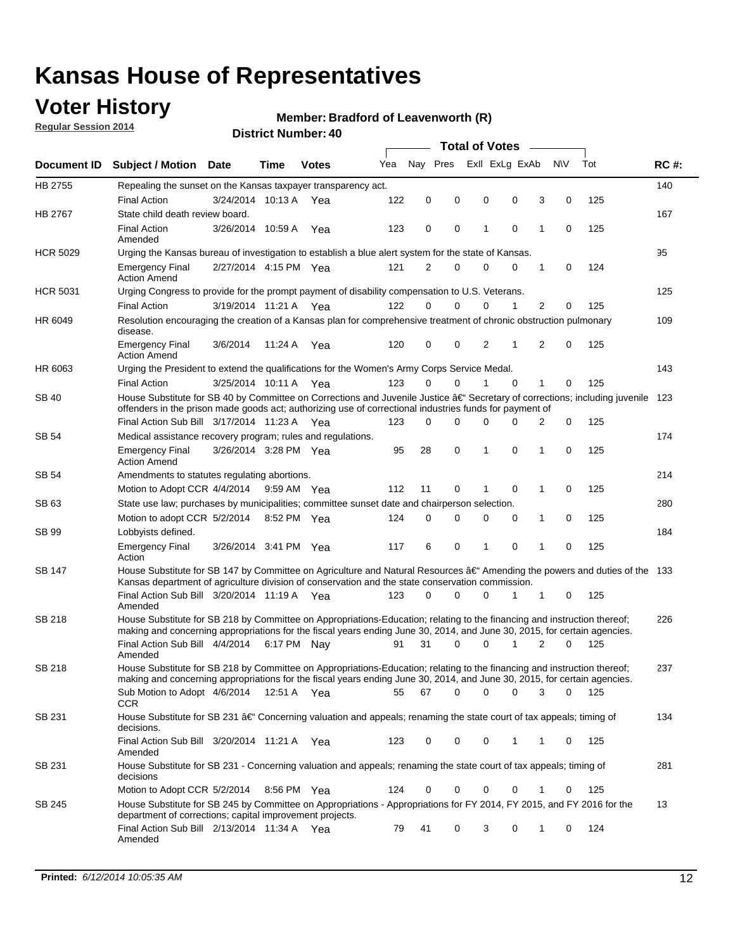## **Voter History**

**Regular Session 2014**

#### **Member: Bradford of Leavenworth (R)**

|                    |                                                                                                                                                                                                                                      |                       |             |              |     | <b>Total of Votes</b> |   |             |                |  |                                 |     |             |  |  |  |  |  |  |  |  |
|--------------------|--------------------------------------------------------------------------------------------------------------------------------------------------------------------------------------------------------------------------------------|-----------------------|-------------|--------------|-----|-----------------------|---|-------------|----------------|--|---------------------------------|-----|-------------|--|--|--|--|--|--|--|--|
| <b>Document ID</b> | <b>Subject / Motion</b>                                                                                                                                                                                                              | Date                  | Time        | <b>Votes</b> | Yea | Nay Pres              |   |             | Exll ExLg ExAb |  | <b>NV</b>                       | Tot | <b>RC#:</b> |  |  |  |  |  |  |  |  |
| HB 2755            | Repealing the sunset on the Kansas taxpayer transparency act.                                                                                                                                                                        |                       |             |              |     |                       |   |             |                |  |                                 |     | 140         |  |  |  |  |  |  |  |  |
|                    | <b>Final Action</b>                                                                                                                                                                                                                  | 3/24/2014 10:13 A     |             | Yea          | 122 | 0                     | 0 | $\mathbf 0$ | 0              |  | 3<br>0                          | 125 |             |  |  |  |  |  |  |  |  |
| HB 2767            | State child death review board.                                                                                                                                                                                                      |                       |             |              |     |                       |   |             |                |  |                                 |     | 167         |  |  |  |  |  |  |  |  |
|                    | <b>Final Action</b><br>Amended                                                                                                                                                                                                       | 3/26/2014 10:59 A     |             | Yea          | 123 | 0                     | 0 | 1           | $\mathbf 0$    |  | 1<br>0                          | 125 |             |  |  |  |  |  |  |  |  |
| <b>HCR 5029</b>    | Urging the Kansas bureau of investigation to establish a blue alert system for the state of Kansas.                                                                                                                                  |                       |             |              |     |                       |   |             |                |  |                                 |     | 95          |  |  |  |  |  |  |  |  |
|                    | <b>Emergency Final</b><br><b>Action Amend</b>                                                                                                                                                                                        | 2/27/2014 4:15 PM Yea |             |              | 121 | 2                     | 0 | $\mathbf 0$ | $\mathbf 0$    |  | 1<br>0                          | 124 |             |  |  |  |  |  |  |  |  |
| <b>HCR 5031</b>    | Urging Congress to provide for the prompt payment of disability compensation to U.S. Veterans.                                                                                                                                       |                       |             |              |     |                       |   |             |                |  |                                 |     | 125         |  |  |  |  |  |  |  |  |
|                    | <b>Final Action</b>                                                                                                                                                                                                                  | 3/19/2014 11:21 A Yea |             |              | 122 | $\Omega$              | 0 | 0           | 1              |  | 2<br>0                          | 125 |             |  |  |  |  |  |  |  |  |
| HR 6049            | Resolution encouraging the creation of a Kansas plan for comprehensive treatment of chronic obstruction pulmonary<br>disease.                                                                                                        |                       |             |              |     |                       |   |             |                |  |                                 |     | 109         |  |  |  |  |  |  |  |  |
|                    | <b>Emergency Final</b><br><b>Action Amend</b>                                                                                                                                                                                        | 3/6/2014              | 11:24 A     | Yea          | 120 | 0                     | 0 | 2           | 1              |  | $\overline{2}$<br>0             | 125 |             |  |  |  |  |  |  |  |  |
| HR 6063            | Urging the President to extend the qualifications for the Women's Army Corps Service Medal.                                                                                                                                          |                       |             |              |     |                       |   |             |                |  |                                 |     | 143         |  |  |  |  |  |  |  |  |
|                    | <b>Final Action</b>                                                                                                                                                                                                                  | 3/25/2014 10:11 A Yea |             |              | 123 | $\Omega$              | 0 | 1           | $\Omega$       |  | $\mathbf{1}$<br>125<br>0<br>123 |     |             |  |  |  |  |  |  |  |  |
| SB 40              | House Substitute for SB 40 by Committee on Corrections and Juvenile Justice †Secretary of corrections; including juvenile<br>offenders in the prison made goods act; authorizing use of correctional industries funds for payment of |                       |             |              |     |                       |   |             |                |  |                                 |     |             |  |  |  |  |  |  |  |  |
|                    | Final Action Sub Bill 3/17/2014 11:23 A Yea                                                                                                                                                                                          |                       |             |              | 123 | 0                     | 0 | 0           | $\Omega$       |  | 0<br>2                          | 125 |             |  |  |  |  |  |  |  |  |
| SB 54              | Medical assistance recovery program; rules and regulations.                                                                                                                                                                          |                       |             |              |     |                       |   |             |                |  |                                 |     | 174         |  |  |  |  |  |  |  |  |
|                    | <b>Emergency Final</b><br><b>Action Amend</b>                                                                                                                                                                                        | 3/26/2014 3:28 PM Yea |             |              | 95  | 28                    | 0 | 1           | $\mathbf 0$    |  | 1<br>0                          | 125 |             |  |  |  |  |  |  |  |  |
| SB 54              | Amendments to statutes regulating abortions.                                                                                                                                                                                         |                       |             |              |     |                       |   |             |                |  |                                 |     | 214         |  |  |  |  |  |  |  |  |
|                    | Motion to Adopt CCR 4/4/2014                                                                                                                                                                                                         |                       | 9:59 AM Yea |              | 112 | 11                    | 0 |             | 0              |  | 0<br>1                          | 125 |             |  |  |  |  |  |  |  |  |
| SB 63              | State use law; purchases by municipalities; committee sunset date and chairperson selection.                                                                                                                                         |                       |             |              |     |                       |   |             |                |  |                                 |     | 280         |  |  |  |  |  |  |  |  |
|                    | Motion to adopt CCR 5/2/2014                                                                                                                                                                                                         |                       | 8:52 PM Yea |              | 124 | 0                     | 0 | 0           | 0              |  | 0<br>1                          | 125 |             |  |  |  |  |  |  |  |  |
| SB 99              | Lobbyists defined.                                                                                                                                                                                                                   |                       |             |              |     |                       |   |             |                |  |                                 |     | 184         |  |  |  |  |  |  |  |  |
|                    | <b>Emergency Final</b><br>Action                                                                                                                                                                                                     | 3/26/2014 3:41 PM Yea |             |              | 117 | 6                     | 0 | 1           | 0              |  | 0<br>1                          | 125 |             |  |  |  |  |  |  |  |  |
| SB 147             | House Substitute for SB 147 by Committee on Agriculture and Natural Resources †Amending the powers and duties of the 133<br>Kansas department of agriculture division of conservation and the state conservation commission.         |                       |             |              |     |                       |   |             |                |  |                                 |     |             |  |  |  |  |  |  |  |  |
|                    | Final Action Sub Bill 3/20/2014 11:19 A Yea<br>Amended                                                                                                                                                                               |                       |             |              | 123 | 0                     | 0 | 0           | 1              |  | 1<br>0                          | 125 |             |  |  |  |  |  |  |  |  |
| SB 218             | House Substitute for SB 218 by Committee on Appropriations-Education; relating to the financing and instruction thereof;                                                                                                             |                       |             |              |     |                       |   |             |                |  |                                 |     | 226         |  |  |  |  |  |  |  |  |
|                    | making and concerning appropriations for the fiscal years ending June 30, 2014, and June 30, 2015, for certain agencies.<br>Final Action Sub Bill 4/4/2014 6:17 PM Nay                                                               |                       |             |              | 91  | 31                    | 0 | $\mathbf 0$ | 1              |  | 2<br>$\Omega$                   | 125 |             |  |  |  |  |  |  |  |  |
|                    | Amended                                                                                                                                                                                                                              |                       |             |              |     |                       |   |             |                |  |                                 |     |             |  |  |  |  |  |  |  |  |
| SB 218             | House Substitute for SB 218 by Committee on Appropriations-Education; relating to the financing and instruction thereof;                                                                                                             |                       |             |              |     |                       |   |             |                |  |                                 |     | 237         |  |  |  |  |  |  |  |  |
|                    | making and concerning appropriations for the fiscal years ending June 30, 2014, and June 30, 2015, for certain agencies.                                                                                                             |                       |             |              |     |                       |   |             |                |  |                                 |     |             |  |  |  |  |  |  |  |  |
|                    | Sub Motion to Adopt 4/6/2014 12:51 A Yea<br><b>CCR</b>                                                                                                                                                                               |                       |             |              | 55  | 67                    | 0 | 0           | 0              |  | 3<br>0                          | 125 |             |  |  |  |  |  |  |  |  |
| SB 231             | House Substitute for SB 231 â€' Concerning valuation and appeals; renaming the state court of tax appeals; timing of<br>decisions.                                                                                                   |                       |             |              |     |                       |   |             |                |  |                                 |     | 134         |  |  |  |  |  |  |  |  |
|                    | Final Action Sub Bill 3/20/2014 11:21 A Yea<br>Amended                                                                                                                                                                               |                       |             |              | 123 | 0                     | 0 | 0           | 1              |  | 1<br>0                          | 125 |             |  |  |  |  |  |  |  |  |
| SB 231             | House Substitute for SB 231 - Concerning valuation and appeals; renaming the state court of tax appeals; timing of<br>decisions                                                                                                      |                       |             |              |     |                       |   |             |                |  |                                 |     | 281         |  |  |  |  |  |  |  |  |
|                    | Motion to Adopt CCR 5/2/2014 8:56 PM Yea                                                                                                                                                                                             |                       |             |              | 124 | 0                     | 0 | 0           | $\mathbf 0$    |  | 1<br>0                          | 125 |             |  |  |  |  |  |  |  |  |
| SB 245             | House Substitute for SB 245 by Committee on Appropriations - Appropriations for FY 2014, FY 2015, and FY 2016 for the<br>department of corrections; capital improvement projects.                                                    |                       |             |              |     |                       |   |             |                |  |                                 |     | 13          |  |  |  |  |  |  |  |  |
|                    | Final Action Sub Bill 2/13/2014 11:34 A Yea<br>Amended                                                                                                                                                                               |                       |             |              | 79  | 41                    | 0 | 3           | 0              |  | 0<br>1                          | 124 |             |  |  |  |  |  |  |  |  |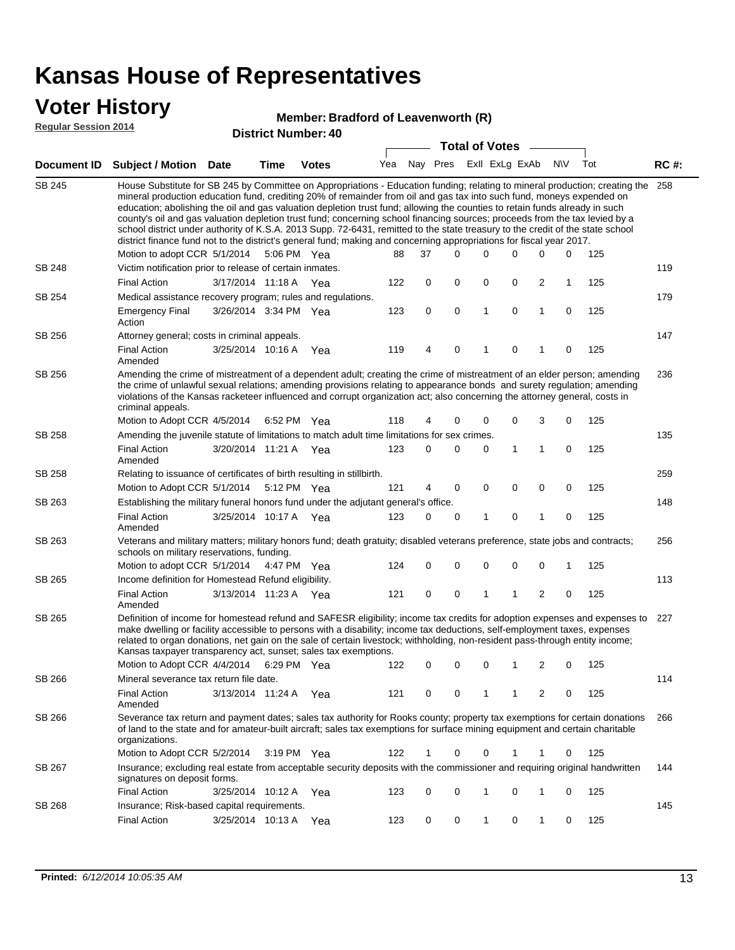### **Voter History**

#### **Member: Bradford of Leavenworth (R)**

**Regular Session 2014**

|               |                                                                                                                                                                                                                                                                                                                                                                                                                                                                                                                                                                                                                                                                                                                                                                                                                                                                                                                                                    |                       |             | טוי וסעווווטרו. אט    |     |                             |             |  | <b>Total of Votes</b> |   |             |     |     |             |
|---------------|----------------------------------------------------------------------------------------------------------------------------------------------------------------------------------------------------------------------------------------------------------------------------------------------------------------------------------------------------------------------------------------------------------------------------------------------------------------------------------------------------------------------------------------------------------------------------------------------------------------------------------------------------------------------------------------------------------------------------------------------------------------------------------------------------------------------------------------------------------------------------------------------------------------------------------------------------|-----------------------|-------------|-----------------------|-----|-----------------------------|-------------|--|-----------------------|---|-------------|-----|-----|-------------|
| Document ID   | <b>Subject / Motion Date</b>                                                                                                                                                                                                                                                                                                                                                                                                                                                                                                                                                                                                                                                                                                                                                                                                                                                                                                                       |                       | <b>Time</b> | <b>Votes</b>          |     | Yea Nay Pres ExII ExLg ExAb |             |  |                       |   |             | N\V | Tot | <b>RC#:</b> |
| <b>SB 245</b> | House Substitute for SB 245 by Committee on Appropriations - Education funding; relating to mineral production; creating the<br>mineral production education fund, crediting 20% of remainder from oil and gas tax into such fund, moneys expended on<br>education; abolishing the oil and gas valuation depletion trust fund; allowing the counties to retain funds already in such<br>county's oil and gas valuation depletion trust fund; concerning school financing sources; proceeds from the tax levied by a<br>school district under authority of K.S.A. 2013 Supp. 72-6431, remitted to the state treasury to the credit of the state school<br>district finance fund not to the district's general fund; making and concerning appropriations for fiscal year 2017.<br>$\Omega$<br>0<br>Motion to adopt CCR 5/1/2014<br>5:06 PM Yea<br>88<br>37<br>$\Omega$<br>0<br>0<br>125<br>Victim notification prior to release of certain inmates. |                       |             |                       |     |                             |             |  |                       |   |             |     |     |             |
| SB 248        |                                                                                                                                                                                                                                                                                                                                                                                                                                                                                                                                                                                                                                                                                                                                                                                                                                                                                                                                                    |                       |             |                       |     |                             |             |  |                       |   |             |     |     | 119         |
|               | <b>Final Action</b>                                                                                                                                                                                                                                                                                                                                                                                                                                                                                                                                                                                                                                                                                                                                                                                                                                                                                                                                | 3/17/2014 11:18 A     |             | Yea                   | 122 | 0                           | 0           |  | 0                     | 0 | 2           | 1   | 125 |             |
| SB 254        | Medical assistance recovery program; rules and regulations.                                                                                                                                                                                                                                                                                                                                                                                                                                                                                                                                                                                                                                                                                                                                                                                                                                                                                        |                       |             |                       |     |                             |             |  |                       |   |             |     |     | 179         |
|               | <b>Emergency Final</b><br>Action                                                                                                                                                                                                                                                                                                                                                                                                                                                                                                                                                                                                                                                                                                                                                                                                                                                                                                                   | 3/26/2014 3:34 PM Yea |             |                       | 123 | 0                           | $\mathbf 0$ |  | $\mathbf{1}$          | 0 | 1           | 0   | 125 |             |
| SB 256        | Attorney general; costs in criminal appeals.                                                                                                                                                                                                                                                                                                                                                                                                                                                                                                                                                                                                                                                                                                                                                                                                                                                                                                       |                       |             |                       |     |                             |             |  |                       |   |             |     |     | 147         |
|               | <b>Final Action</b><br>Amended                                                                                                                                                                                                                                                                                                                                                                                                                                                                                                                                                                                                                                                                                                                                                                                                                                                                                                                     | 3/25/2014 10:16 A     |             | Yea                   | 119 | 4                           | 0           |  | 1                     | 0 |             | 0   | 125 |             |
| SB 256        | Amending the crime of mistreatment of a dependent adult; creating the crime of mistreatment of an elder person; amending<br>the crime of unlawful sexual relations; amending provisions relating to appearance bonds and surety regulation; amending<br>violations of the Kansas racketeer influenced and corrupt organization act; also concerning the attorney general, costs in<br>criminal appeals.                                                                                                                                                                                                                                                                                                                                                                                                                                                                                                                                            |                       |             |                       |     |                             |             |  |                       |   |             |     |     | 236         |
| SB 258        | Motion to Adopt CCR 4/5/2014<br>Amending the juvenile statute of limitations to match adult time limitations for sex crimes.                                                                                                                                                                                                                                                                                                                                                                                                                                                                                                                                                                                                                                                                                                                                                                                                                       |                       | 6:52 PM Yea |                       | 118 | 4                           | 0           |  | 0                     | 0 | 3           | 0   | 125 | 135         |
|               | <b>Final Action</b><br>Amended                                                                                                                                                                                                                                                                                                                                                                                                                                                                                                                                                                                                                                                                                                                                                                                                                                                                                                                     | 3/20/2014 11:21 A Yea |             |                       | 123 | 0                           | 0           |  | 0                     | 1 | 1           | 0   | 125 |             |
| SB 258        | Relating to issuance of certificates of birth resulting in stillbirth.                                                                                                                                                                                                                                                                                                                                                                                                                                                                                                                                                                                                                                                                                                                                                                                                                                                                             |                       |             |                       |     |                             |             |  |                       |   |             |     |     | 259         |
|               | Motion to Adopt CCR 5/1/2014                                                                                                                                                                                                                                                                                                                                                                                                                                                                                                                                                                                                                                                                                                                                                                                                                                                                                                                       |                       | 5:12 PM Yea |                       | 121 | 4                           | 0           |  | 0                     | 0 | $\mathbf 0$ | 0   | 125 |             |
| SB 263        | Establishing the military funeral honors fund under the adjutant general's office.                                                                                                                                                                                                                                                                                                                                                                                                                                                                                                                                                                                                                                                                                                                                                                                                                                                                 |                       |             |                       |     |                             |             |  |                       |   |             |     |     | 148         |
|               | <b>Final Action</b><br>Amended                                                                                                                                                                                                                                                                                                                                                                                                                                                                                                                                                                                                                                                                                                                                                                                                                                                                                                                     | 3/25/2014 10:17 A Yea |             |                       | 123 | 0                           | 0           |  | 1                     | 0 | 1           | 0   | 125 |             |
| SB 263        | Veterans and military matters; military honors fund; death gratuity; disabled veterans preference, state jobs and contracts;<br>schools on military reservations, funding.                                                                                                                                                                                                                                                                                                                                                                                                                                                                                                                                                                                                                                                                                                                                                                         |                       |             |                       |     |                             |             |  |                       |   |             |     |     | 256         |
|               | Motion to adopt CCR 5/1/2014 4:47 PM Yea                                                                                                                                                                                                                                                                                                                                                                                                                                                                                                                                                                                                                                                                                                                                                                                                                                                                                                           |                       |             |                       | 124 | 0                           | 0           |  | 0                     | 0 | 0           | 1   | 125 |             |
| SB 265        | Income definition for Homestead Refund eligibility.                                                                                                                                                                                                                                                                                                                                                                                                                                                                                                                                                                                                                                                                                                                                                                                                                                                                                                |                       |             |                       |     |                             |             |  |                       |   |             |     |     | 113         |
|               | <b>Final Action</b><br>Amended                                                                                                                                                                                                                                                                                                                                                                                                                                                                                                                                                                                                                                                                                                                                                                                                                                                                                                                     | 3/13/2014 11:23 A Yea |             |                       | 121 | 0                           | 0           |  | 1                     | 1 | 2           | 0   | 125 |             |
| SB 265        | Definition of income for homestead refund and SAFESR eligibility; income tax credits for adoption expenses and expenses to<br>make dwelling or facility accessible to persons with a disability; income tax deductions, self-employment taxes, expenses<br>related to organ donations, net gain on the sale of certain livestock; withholding, non-resident pass-through entity income;<br>Kansas taxpayer transparency act, sunset; sales tax exemptions.<br>Motion to Adopt CCR 4/4/2014 6:29 PM Yea                                                                                                                                                                                                                                                                                                                                                                                                                                             |                       |             |                       | 122 | 0                           | 0           |  | 0                     | 1 | 2           | 0   | 125 | 227         |
| SB 266        | Mineral severance tax return file date.                                                                                                                                                                                                                                                                                                                                                                                                                                                                                                                                                                                                                                                                                                                                                                                                                                                                                                            |                       |             |                       |     |                             |             |  |                       |   |             |     |     | 114         |
|               | <b>Final Action</b><br>Amended                                                                                                                                                                                                                                                                                                                                                                                                                                                                                                                                                                                                                                                                                                                                                                                                                                                                                                                     | 3/13/2014 11:24 A     |             | Yea                   | 121 | 0                           | 0           |  | 1                     | 1 | 2           | 0   | 125 |             |
| SB 266        | Severance tax return and payment dates; sales tax authority for Rooks county; property tax exemptions for certain donations<br>of land to the state and for amateur-built aircraft; sales tax exemptions for surface mining equipment and certain charitable<br>organizations.                                                                                                                                                                                                                                                                                                                                                                                                                                                                                                                                                                                                                                                                     |                       |             |                       |     |                             |             |  |                       |   |             |     |     | 266         |
|               | Motion to Adopt CCR 5/2/2014                                                                                                                                                                                                                                                                                                                                                                                                                                                                                                                                                                                                                                                                                                                                                                                                                                                                                                                       |                       |             | $3:19 \text{ PM}$ Yea | 122 | 1                           | 0           |  | 0                     |   |             | 0   | 125 |             |
| SB 267        | Insurance; excluding real estate from acceptable security deposits with the commissioner and requiring original handwritten<br>signatures on deposit forms.                                                                                                                                                                                                                                                                                                                                                                                                                                                                                                                                                                                                                                                                                                                                                                                        |                       |             |                       |     |                             |             |  |                       |   |             |     |     | 144         |
|               | <b>Final Action</b>                                                                                                                                                                                                                                                                                                                                                                                                                                                                                                                                                                                                                                                                                                                                                                                                                                                                                                                                | 3/25/2014 10:12 A     |             | Yea                   | 123 | 0                           | 0           |  | 1                     | 0 | 1           | 0   | 125 |             |
| SB 268        | Insurance; Risk-based capital requirements.                                                                                                                                                                                                                                                                                                                                                                                                                                                                                                                                                                                                                                                                                                                                                                                                                                                                                                        |                       |             |                       |     |                             |             |  |                       |   |             |     |     | 145         |
|               | <b>Final Action</b>                                                                                                                                                                                                                                                                                                                                                                                                                                                                                                                                                                                                                                                                                                                                                                                                                                                                                                                                | 3/25/2014 10:13 A     |             | Yea                   | 123 | 0                           | 0           |  | 1                     | 0 | 1           | 0   | 125 |             |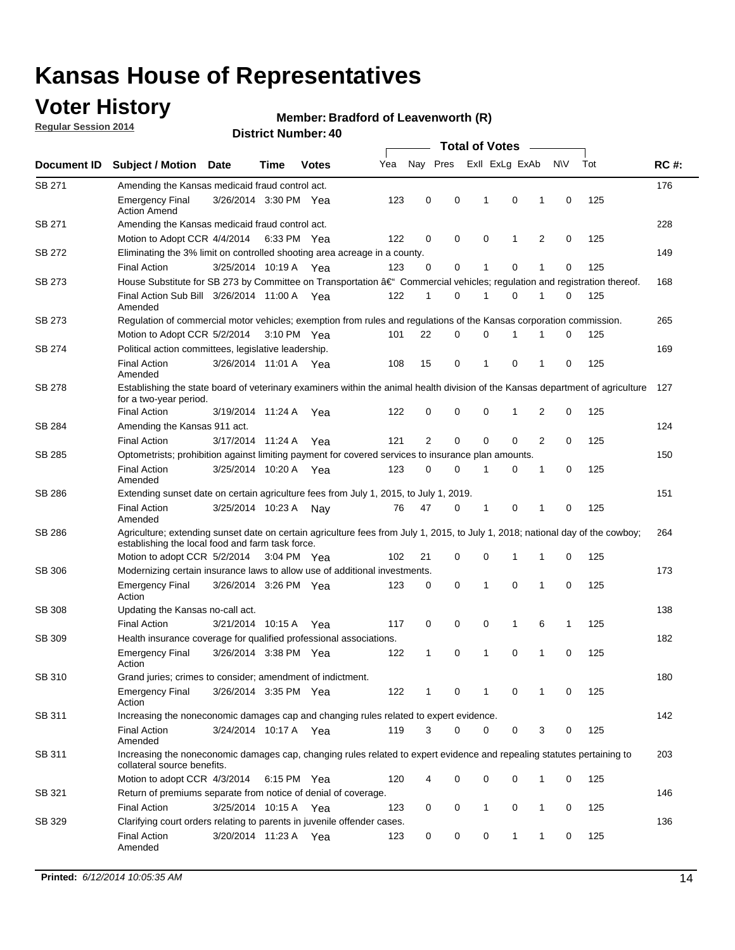## **Voter History**

**Regular Session 2014**

#### **Member: Bradford of Leavenworth (R)**

|               |                                                                                                                                                                                    |                       |             |              |     | <b>Total of Votes</b> |          |   |                |   |   |             |     |             |
|---------------|------------------------------------------------------------------------------------------------------------------------------------------------------------------------------------|-----------------------|-------------|--------------|-----|-----------------------|----------|---|----------------|---|---|-------------|-----|-------------|
| Document ID   | <b>Subject / Motion</b>                                                                                                                                                            | <b>Date</b>           | Time        | <b>Votes</b> | Yea |                       | Nay Pres |   | Exll ExLg ExAb |   |   | <b>NV</b>   | Tot | <b>RC#:</b> |
| SB 271        | Amending the Kansas medicaid fraud control act.                                                                                                                                    |                       |             |              |     |                       |          |   |                |   |   |             |     | 176         |
|               | <b>Emergency Final</b><br><b>Action Amend</b>                                                                                                                                      | 3/26/2014 3:30 PM Yea |             |              | 123 | 0                     | 0        |   | 1              | 0 | 1 | 0           | 125 |             |
| SB 271        | Amending the Kansas medicaid fraud control act.                                                                                                                                    |                       |             |              |     |                       |          |   |                |   |   |             |     | 228         |
|               | Motion to Adopt CCR 4/4/2014 6:33 PM Yea                                                                                                                                           |                       |             |              | 122 | 0                     |          | 0 | 0              | 1 | 2 | 0           | 125 |             |
| SB 272        | Eliminating the 3% limit on controlled shooting area acreage in a county.                                                                                                          |                       |             |              |     |                       |          |   |                |   |   |             |     | 149         |
|               | <b>Final Action</b>                                                                                                                                                                | 3/25/2014 10:19 A Yea |             |              | 123 | 0                     |          | 0 | $\mathbf{1}$   | 0 | 1 | 0           | 125 |             |
| SB 273        | House Substitute for SB 273 by Committee on Transportation â€ <sup>4</sup> Commercial vehicles; regulation and registration thereof.                                               |                       |             |              |     |                       |          |   |                |   |   |             |     | 168         |
|               | Final Action Sub Bill 3/26/2014 11:00 A Yea<br>Amended                                                                                                                             |                       |             |              | 122 | 1                     |          | 0 | 1              | 0 | 1 | 0           | 125 |             |
| SB 273        | Regulation of commercial motor vehicles; exemption from rules and regulations of the Kansas corporation commission.                                                                |                       |             |              |     |                       |          |   |                |   |   |             |     | 265         |
|               | Motion to Adopt CCR 5/2/2014                                                                                                                                                       |                       | 3:10 PM Yea |              | 101 | 22                    |          | 0 | 0              | 1 |   | 0           | 125 |             |
| SB 274        | Political action committees, legislative leadership.                                                                                                                               |                       |             |              |     |                       |          |   |                |   |   |             |     | 169         |
|               | <b>Final Action</b><br>Amended                                                                                                                                                     | 3/26/2014 11:01 A Yea |             |              | 108 | 15                    |          | 0 | 1              | 0 | 1 | 0           | 125 |             |
| SB 278        | Establishing the state board of veterinary examiners within the animal health division of the Kansas department of agriculture<br>for a two-year period.                           |                       |             |              |     |                       |          |   |                |   |   |             |     | 127         |
|               | <b>Final Action</b>                                                                                                                                                                | 3/19/2014 11:24 A     |             | Yea          | 122 | 0                     |          | 0 | 0              | 1 | 2 | 0           | 125 |             |
| SB 284        | Amending the Kansas 911 act.                                                                                                                                                       |                       |             |              |     |                       |          |   |                |   |   |             |     | 124         |
|               | <b>Final Action</b>                                                                                                                                                                | 3/17/2014 11:24 A     |             | Yea          | 121 | 2                     |          | 0 | 0              | 0 | 2 | 0           | 125 |             |
| SB 285        | Optometrists; prohibition against limiting payment for covered services to insurance plan amounts.                                                                                 |                       |             |              |     |                       |          |   |                |   |   |             |     | 150         |
|               | <b>Final Action</b><br>Amended                                                                                                                                                     | 3/25/2014 10:20 A Yea |             |              | 123 | 0                     |          | 0 | 1              | 0 | 1 | 0           | 125 |             |
| SB 286        | Extending sunset date on certain agriculture fees from July 1, 2015, to July 1, 2019.                                                                                              |                       |             |              |     |                       |          |   |                |   |   |             |     | 151         |
|               | <b>Final Action</b><br>Amended                                                                                                                                                     | 3/25/2014 10:23 A     |             | Nay          | 76  | 47                    |          | 0 | 1              | 0 | 1 | 0           | 125 |             |
| SB 286        | Agriculture; extending sunset date on certain agriculture fees from July 1, 2015, to July 1, 2018; national day of the cowboy;<br>establishing the local food and farm task force. |                       |             |              |     |                       |          |   |                |   |   |             |     | 264         |
|               | Motion to adopt CCR 5/2/2014 3:04 PM Yea                                                                                                                                           |                       |             |              | 102 | 21                    |          | 0 | 0              | 1 | 1 | 0           | 125 |             |
| SB 306        | Modernizing certain insurance laws to allow use of additional investments.                                                                                                         |                       |             |              |     |                       |          |   |                |   |   |             |     | 173         |
|               | <b>Emergency Final</b><br>Action                                                                                                                                                   | 3/26/2014 3:26 PM Yea |             |              | 123 | 0                     |          | 0 | 1              | 0 | 1 | $\mathbf 0$ | 125 |             |
| <b>SB 308</b> | Updating the Kansas no-call act.                                                                                                                                                   |                       |             |              |     |                       |          |   |                |   |   |             |     | 138         |
|               | <b>Final Action</b>                                                                                                                                                                | 3/21/2014 10:15 A     |             | Yea          | 117 | 0                     |          | 0 | 0              | 1 | 6 | 1           | 125 |             |
| SB 309        | Health insurance coverage for qualified professional associations.                                                                                                                 |                       |             |              |     |                       |          |   |                |   |   |             |     | 182         |
|               | <b>Emergency Final</b><br>Action                                                                                                                                                   | 3/26/2014 3:38 PM Yea |             |              | 122 | 1                     |          | 0 | 1              | 0 | 1 | 0           | 125 |             |
| SB 310        | Grand juries; crimes to consider; amendment of indictment.                                                                                                                         |                       |             |              |     |                       |          |   |                |   |   |             |     | 180         |
|               | <b>Emergency Final</b><br>Action                                                                                                                                                   | 3/26/2014 3:35 PM Yea |             |              | 122 | 1                     |          | 0 | 1              | 0 | 1 | 0           | 125 |             |
| SB 311        | Increasing the noneconomic damages cap and changing rules related to expert evidence.                                                                                              |                       |             |              |     |                       |          |   |                |   |   |             |     | 142         |
|               | <b>Final Action</b><br>Amended                                                                                                                                                     | 3/24/2014 10:17 A Yea |             |              | 119 | 3                     |          | 0 | 0              | 0 | 3 | 0           | 125 |             |
| SB 311        | Increasing the noneconomic damages cap, changing rules related to expert evidence and repealing statutes pertaining to<br>collateral source benefits.                              |                       |             |              |     |                       |          |   |                |   |   |             |     | 203         |
|               | Motion to adopt CCR 4/3/2014 6:15 PM Yea                                                                                                                                           |                       |             |              | 120 | 4                     |          | 0 | 0              | 0 | 1 | 0           | 125 |             |
| SB 321        | Return of premiums separate from notice of denial of coverage.                                                                                                                     |                       |             |              |     |                       |          |   |                |   |   |             |     | 146         |
|               | <b>Final Action</b>                                                                                                                                                                | 3/25/2014 10:15 A Yea |             |              | 123 | 0                     |          | 0 | 1              | 0 | 1 | 0           | 125 |             |
| SB 329        | Clarifying court orders relating to parents in juvenile offender cases.                                                                                                            |                       |             |              |     |                       |          |   |                |   |   |             |     | 136         |
|               | <b>Final Action</b><br>Amended                                                                                                                                                     | 3/20/2014 11:23 A Yea |             |              | 123 | 0                     |          | 0 | 0              | 1 | 1 | 0           | 125 |             |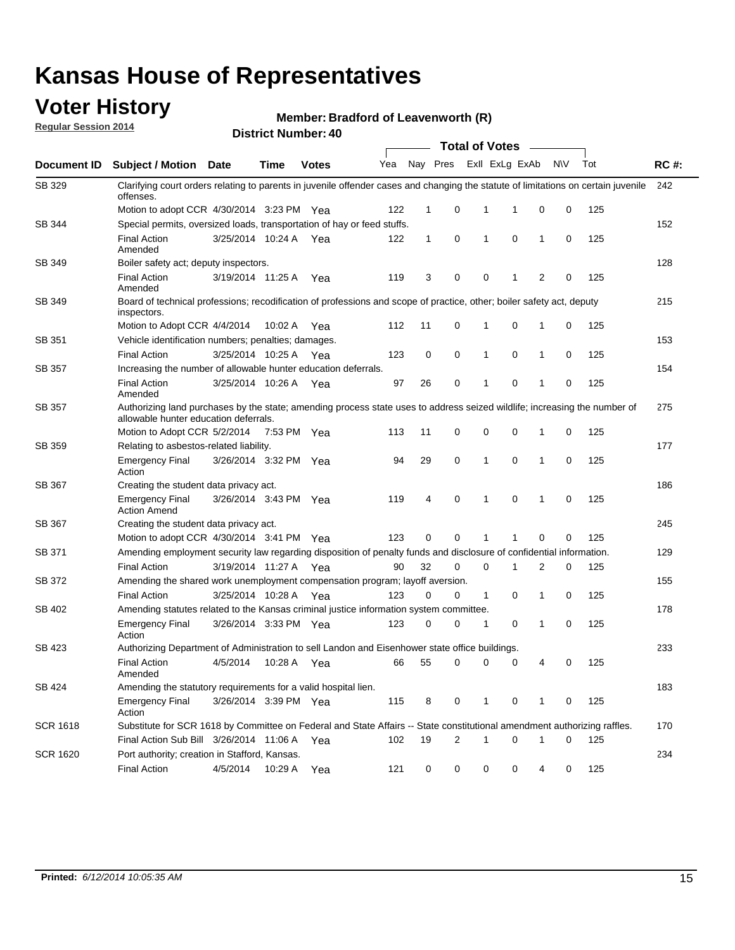### **Voter History**

**Regular Session 2014**

#### **Member: Bradford of Leavenworth (R)**

|                    |                                                                                                                                                                    |                       |             |              |     |             |   | <b>Total of Votes</b> |                |                |             |     |             |
|--------------------|--------------------------------------------------------------------------------------------------------------------------------------------------------------------|-----------------------|-------------|--------------|-----|-------------|---|-----------------------|----------------|----------------|-------------|-----|-------------|
| <b>Document ID</b> | <b>Subject / Motion Date</b>                                                                                                                                       |                       | Time        | <b>Votes</b> | Yea | Nay Pres    |   |                       | Exll ExLg ExAb |                | N\V         | Tot | <b>RC#:</b> |
| SB 329             | Clarifying court orders relating to parents in juvenile offender cases and changing the statute of limitations on certain juvenile<br>offenses.                    |                       |             |              |     |             |   |                       |                |                |             |     | 242         |
|                    | Motion to adopt CCR 4/30/2014 3:23 PM Yea                                                                                                                          |                       |             |              | 122 | $\mathbf 1$ | 0 | 1                     | 1              | 0              | 0           | 125 |             |
| <b>SB 344</b>      | Special permits, oversized loads, transportation of hay or feed stuffs.                                                                                            |                       |             |              |     |             |   |                       |                |                |             |     | 152         |
|                    | <b>Final Action</b><br>Amended                                                                                                                                     | 3/25/2014 10:24 A     |             | Yea          | 122 | 1           | 0 | 1                     | 0              | $\mathbf 1$    | 0           | 125 |             |
| SB 349             | Boiler safety act; deputy inspectors.                                                                                                                              |                       |             |              |     |             |   |                       |                |                |             |     | 128         |
|                    | <b>Final Action</b><br>Amended                                                                                                                                     | 3/19/2014 11:25 A     |             | Yea          | 119 | 3           | 0 | 0                     | 1              | $\overline{2}$ | $\mathbf 0$ | 125 |             |
| SB 349             | Board of technical professions; recodification of professions and scope of practice, other; boiler safety act, deputy<br>inspectors.                               |                       |             |              |     |             |   |                       |                |                |             |     | 215         |
|                    | Motion to Adopt CCR 4/4/2014                                                                                                                                       |                       | 10:02 A     | Yea          | 112 | 11          | 0 | 1                     | 0              | 1              | 0           | 125 |             |
| SB 351             | Vehicle identification numbers; penalties; damages.                                                                                                                |                       |             |              |     |             |   |                       |                |                |             |     | 153         |
|                    | <b>Final Action</b>                                                                                                                                                | 3/25/2014 10:25 A     |             | Yea          | 123 | 0           | 0 | 1                     | 0              | $\mathbf{1}$   | 0           | 125 |             |
| SB 357             | Increasing the number of allowable hunter education deferrals.                                                                                                     |                       |             |              |     |             |   |                       |                |                |             |     | 154         |
|                    | <b>Final Action</b><br>Amended                                                                                                                                     | 3/25/2014 10:26 A     |             | Yea          | 97  | 26          | 0 | 1                     | 0              | $\mathbf{1}$   | 0           | 125 |             |
| SB 357             | Authorizing land purchases by the state; amending process state uses to address seized wildlife; increasing the number of<br>allowable hunter education deferrals. |                       |             |              |     |             |   |                       |                |                |             |     | 275         |
|                    | Motion to Adopt CCR 5/2/2014                                                                                                                                       |                       | 7:53 PM Yea |              | 113 | 11          | 0 | 0                     | 0              | -1             | 0           | 125 |             |
| <b>SB 359</b>      | Relating to asbestos-related liability.                                                                                                                            |                       |             |              |     |             |   |                       |                |                |             |     | 177         |
|                    | <b>Emergency Final</b><br>Action                                                                                                                                   | 3/26/2014 3:32 PM Yea |             |              | 94  | 29          | 0 | 1                     | $\mathbf 0$    | $\mathbf 1$    | $\mathbf 0$ | 125 |             |
| <b>SB 367</b>      | Creating the student data privacy act.                                                                                                                             |                       |             |              |     |             |   |                       |                |                |             |     | 186         |
|                    | <b>Emergency Final</b><br><b>Action Amend</b>                                                                                                                      | 3/26/2014 3:43 PM Yea |             |              | 119 | 4           | 0 | 1                     | 0              | -1             | 0           | 125 |             |
| SB 367             | Creating the student data privacy act.                                                                                                                             |                       |             |              |     |             |   |                       |                |                |             |     | 245         |
|                    | Motion to adopt CCR 4/30/2014 3:41 PM Yea                                                                                                                          |                       |             |              | 123 | 0           | 0 | 1                     | 1              | 0              | 0           | 125 |             |
| SB 371             | Amending employment security law regarding disposition of penalty funds and disclosure of confidential information.                                                |                       |             |              |     |             |   |                       |                |                |             |     | 129         |
|                    | <b>Final Action</b>                                                                                                                                                | 3/19/2014 11:27 A Yea |             |              | 90  | 32          | 0 | 0                     | 1              | 2              | 0           | 125 |             |
| <b>SB 372</b>      | Amending the shared work unemployment compensation program; layoff aversion.                                                                                       |                       |             |              |     |             |   |                       |                |                |             |     | 155         |
|                    | <b>Final Action</b>                                                                                                                                                | 3/25/2014 10:28 A     |             | Yea          | 123 | 0           | 0 | $\mathbf{1}$          | 0              | $\mathbf{1}$   | 0           | 125 |             |
| SB 402             | Amending statutes related to the Kansas criminal justice information system committee.                                                                             |                       |             |              |     |             |   |                       |                |                |             |     | 178         |
|                    | <b>Emergency Final</b><br>Action                                                                                                                                   | 3/26/2014 3:33 PM     |             | Yea          | 123 | 0           | 0 | 1                     | 0              | $\mathbf{1}$   | 0           | 125 |             |
| SB 423             | Authorizing Department of Administration to sell Landon and Eisenhower state office buildings.                                                                     |                       |             |              |     |             |   |                       |                |                |             |     | 233         |
|                    | <b>Final Action</b><br>Amended                                                                                                                                     | 4/5/2014              | 10:28 A     | Yea          | 66  | 55          | 0 | 0                     | 0              | 4              | 0           | 125 |             |
| SB 424             | Amending the statutory requirements for a valid hospital lien.                                                                                                     |                       |             |              |     |             |   |                       |                |                |             |     | 183         |
|                    | <b>Emergency Final</b><br>Action                                                                                                                                   | 3/26/2014 3:39 PM Yea |             |              | 115 | 8           | 0 | 1                     | 0              | -1             | 0           | 125 |             |
| SCR 1618           | Substitute for SCR 1618 by Committee on Federal and State Affairs -- State constitutional amendment authorizing raffles.                                           |                       |             |              |     |             |   |                       |                |                |             |     | 170         |
|                    | Final Action Sub Bill 3/26/2014 11:06 A                                                                                                                            |                       |             | Yea          | 102 | 19          | 2 | 1                     | 0              | -1             | 0           | 125 |             |
| SCR 1620           | Port authority; creation in Stafford, Kansas.                                                                                                                      |                       |             |              |     |             |   |                       |                |                |             |     | 234         |
|                    | <b>Final Action</b>                                                                                                                                                | 4/5/2014              | 10:29 A     | Yea          | 121 | 0           | 0 | 0                     | 0              | 4              | 0           | 125 |             |